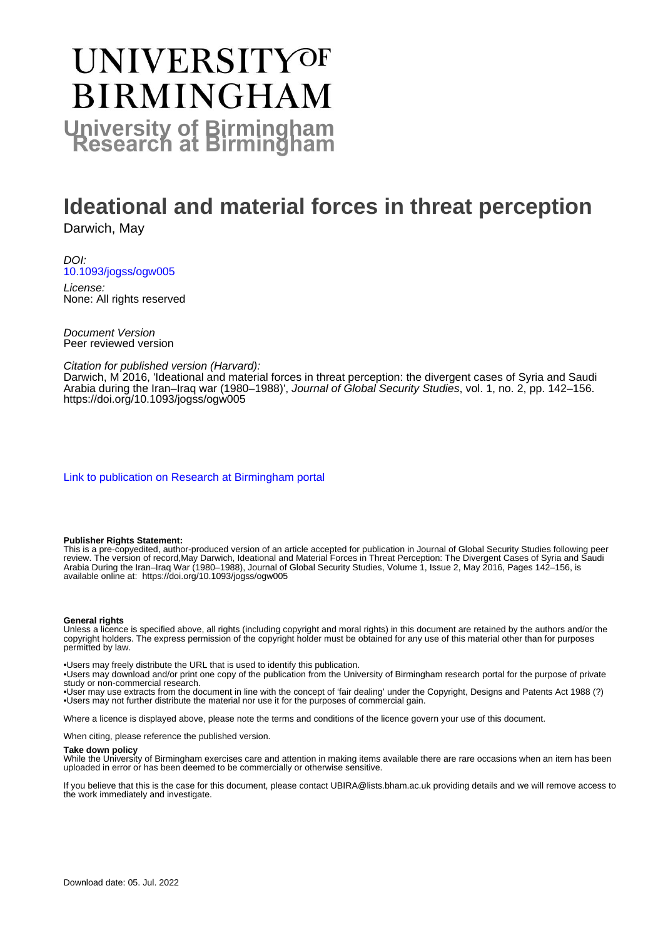# UNIVERSITYOF **BIRMINGHAM University of Birmingham**

# **Ideational and material forces in threat perception**

Darwich, May

DOI: [10.1093/jogss/ogw005](https://doi.org/10.1093/jogss/ogw005)

License: None: All rights reserved

Document Version Peer reviewed version

Citation for published version (Harvard):

Darwich, M 2016, 'Ideational and material forces in threat perception: the divergent cases of Syria and Saudi Arabia during the Iran–Iraq war (1980–1988)', Journal of Global Security Studies, vol. 1, no. 2, pp. 142–156. <https://doi.org/10.1093/jogss/ogw005>

[Link to publication on Research at Birmingham portal](https://birmingham.elsevierpure.com/en/publications/d477811e-e128-4df1-b061-6adc80709a9a)

#### **Publisher Rights Statement:**

This is a pre-copyedited, author-produced version of an article accepted for publication in Journal of Global Security Studies following peer review. The version of record,May Darwich, Ideational and Material Forces in Threat Perception: The Divergent Cases of Syria and Saudi Arabia During the Iran–Iraq War (1980–1988), Journal of Global Security Studies, Volume 1, Issue 2, May 2016, Pages 142–156, is available online at: https://doi.org/10.1093/jogss/ogw005

#### **General rights**

Unless a licence is specified above, all rights (including copyright and moral rights) in this document are retained by the authors and/or the copyright holders. The express permission of the copyright holder must be obtained for any use of this material other than for purposes permitted by law.

• Users may freely distribute the URL that is used to identify this publication.

• Users may download and/or print one copy of the publication from the University of Birmingham research portal for the purpose of private study or non-commercial research.

• User may use extracts from the document in line with the concept of 'fair dealing' under the Copyright, Designs and Patents Act 1988 (?) • Users may not further distribute the material nor use it for the purposes of commercial gain.

Where a licence is displayed above, please note the terms and conditions of the licence govern your use of this document.

When citing, please reference the published version.

#### **Take down policy**

While the University of Birmingham exercises care and attention in making items available there are rare occasions when an item has been uploaded in error or has been deemed to be commercially or otherwise sensitive.

If you believe that this is the case for this document, please contact UBIRA@lists.bham.ac.uk providing details and we will remove access to the work immediately and investigate.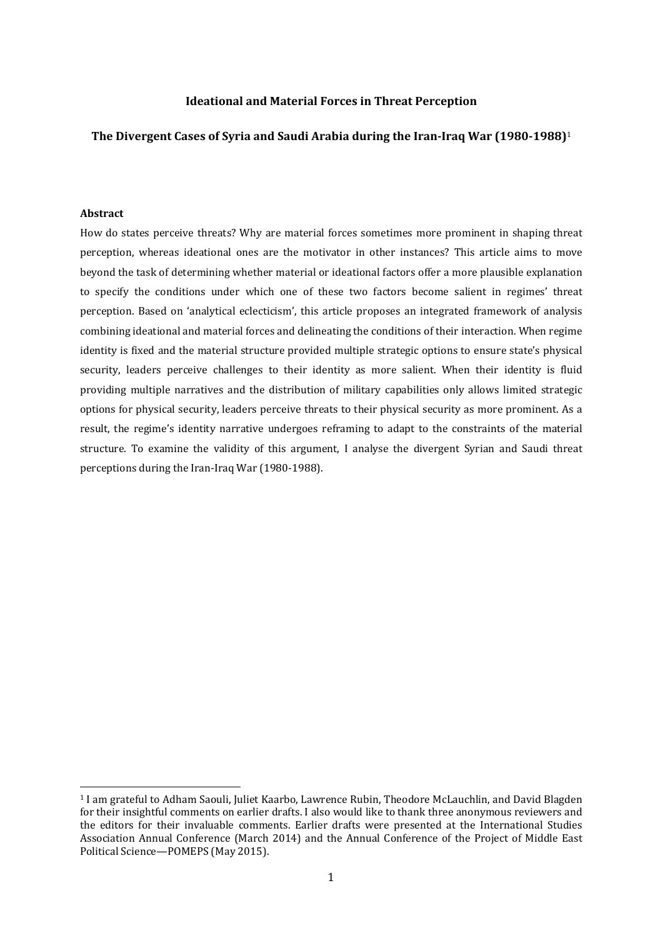#### **Ideational and Material Forces in Threat Perception**

#### **The Divergent Cases of Syria and Saudi Arabia during the Iran‐Iraq War (1980‐1988)**<sup>1</sup>

### **Abstract**

 

How do states perceive threats? Why are material forces sometimes more prominent in shaping threat perception, whereas ideational ones are the motivator in other instances? This article aims to move beyond the task of determining whether material or ideational factors offer a more plausible explanation to specify the conditions under which one of these two factors become salient in regimes' threat perception. Based on 'analytical eclecticism', this article proposes an integrated framework of analysis combining ideational and material forces and delineating the conditions of their interaction. When regime identity is fixed and the material structure provided multiple strategic options to ensure state's physical security, leaders perceive challenges to their identity as more salient. When their identity is fluid providing multiple narratives and the distribution of military capabilities only allows limited strategic options for physical security, leaders perceive threats to their physical security as more prominent. As a result, the regime's identity narrative undergoes reframing to adapt to the constraints of the material structure. To examine the validity of this argument, I analyse the divergent Syrian and Saudi threat perceptions during the Iran-Iraq War (1980-1988).

<sup>&</sup>lt;sup>1</sup> I am grateful to Adham Saouli, Juliet Kaarbo, Lawrence Rubin, Theodore McLauchlin, and David Blagden for their insightful comments on earlier drafts. I also would like to thank three anonymous reviewers and the editors for their invaluable comments. Earlier drafts were presented at the International Studies Association Annual Conference (March 2014) and the Annual Conference of the Project of Middle East Political Science—POMEPS (May 2015).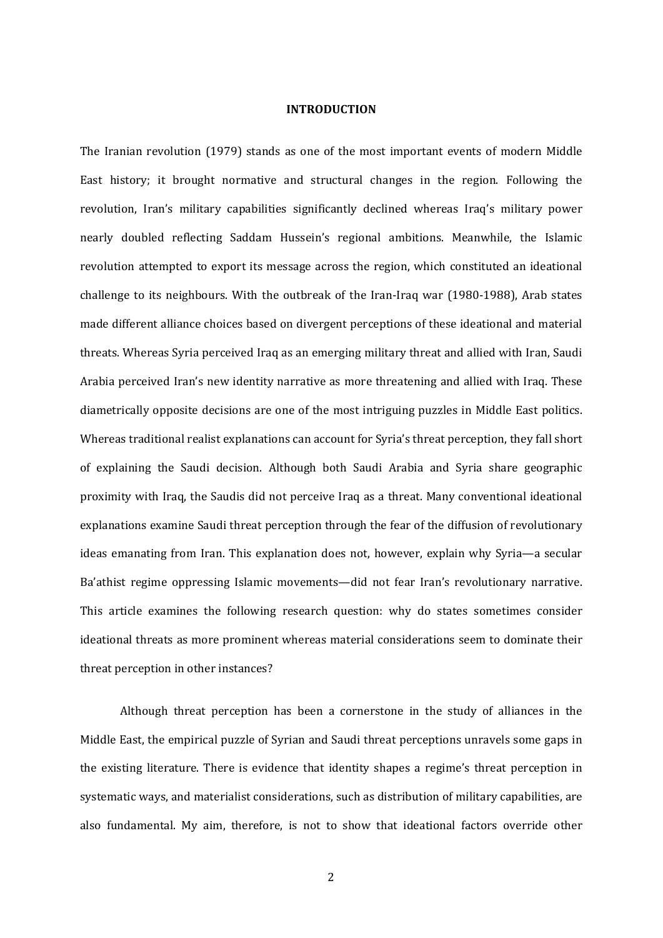#### **INTRODUCTION**

The Iranian revolution (1979) stands as one of the most important events of modern Middle East history; it brought normative and structural changes in the region. Following the revolution, Iran's military capabilities significantly declined whereas Iraq's military power nearly doubled reflecting Saddam Hussein's regional ambitions. Meanwhile, the Islamic revolution attempted to export its message across the region, which constituted an ideational challenge to its neighbours. With the outbreak of the Iran-Iraq war (1980-1988), Arab states made different alliance choices based on divergent perceptions of these ideational and material threats. Whereas Syria perceived Iraq as an emerging military threat and allied with Iran, Saudi Arabia perceived Iran's new identity narrative as more threatening and allied with Iraq. These diametrically opposite decisions are one of the most intriguing puzzles in Middle East politics. Whereas traditional realist explanations can account for Syria's threat perception, they fall short of explaining the Saudi decision. Although both Saudi Arabia and Syria share geographic proximity with Iraq, the Saudis did not perceive Iraq as a threat. Many conventional ideational explanations examine Saudi threat perception through the fear of the diffusion of revolutionary ideas emanating from Iran. This explanation does not, however, explain why Syria-a secular Ba'athist regime oppressing Islamic movements—did not fear Iran's revolutionary narrative. This article examines the following research question: why do states sometimes consider ideational threats as more prominent whereas material considerations seem to dominate their threat perception in other instances?

Although threat perception has been a cornerstone in the study of alliances in the Middle East, the empirical puzzle of Syrian and Saudi threat perceptions unravels some gaps in the existing literature. There is evidence that identity shapes a regime's threat perception in systematic ways, and materialist considerations, such as distribution of military capabilities, are also fundamental. My aim, therefore, is not to show that ideational factors override other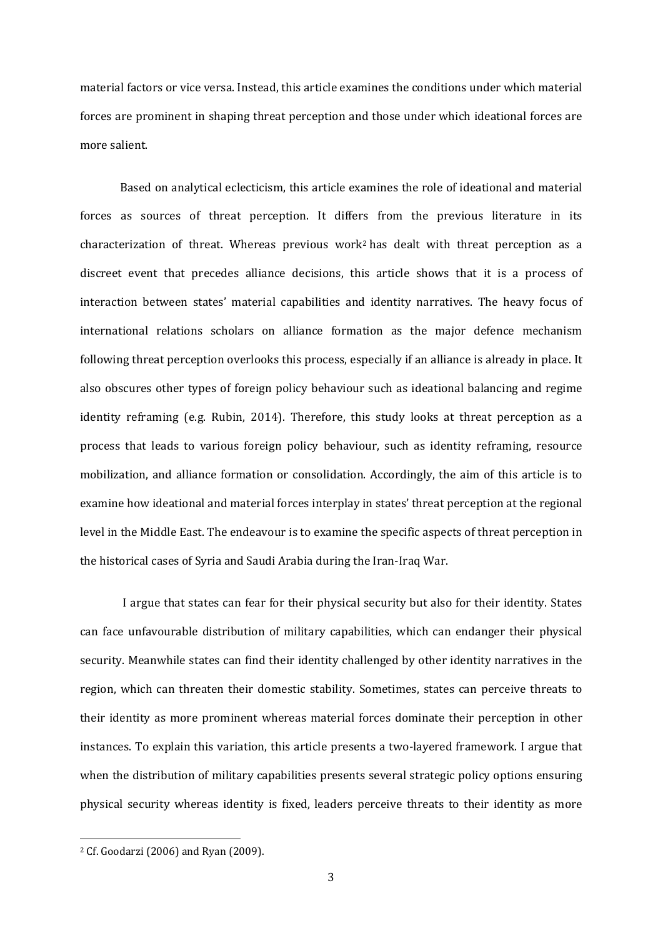material factors or vice versa. Instead, this article examines the conditions under which material forces are prominent in shaping threat perception and those under which ideational forces are more salient.

Based on analytical eclecticism, this article examines the role of ideational and material forces as sources of threat perception. It differs from the previous literature in its characterization of threat. Whereas previous work<sup>2</sup> has dealt with threat perception as a discreet event that precedes alliance decisions, this article shows that it is a process of interaction between states' material capabilities and identity narratives. The heavy focus of international relations scholars on alliance formation as the major defence mechanism following threat perception overlooks this process, especially if an alliance is already in place. It also obscures other types of foreign policy behaviour such as ideational balancing and regime identity reframing (e.g. Rubin, 2014). Therefore, this study looks at threat perception as a process that leads to various foreign policy behaviour, such as identity reframing, resource mobilization, and alliance formation or consolidation. Accordingly, the aim of this article is to examine how ideational and material forces interplay in states' threat perception at the regional level in the Middle East. The endeavour is to examine the specific aspects of threat perception in the historical cases of Syria and Saudi Arabia during the Iran-Iraq War.

I argue that states can fear for their physical security but also for their identity. States can face unfavourable distribution of military capabilities, which can endanger their physical security. Meanwhile states can find their identity challenged by other identity narratives in the region, which can threaten their domestic stability. Sometimes, states can perceive threats to their identity as more prominent whereas material forces dominate their perception in other instances. To explain this variation, this article presents a two-layered framework. I argue that when the distribution of military capabilities presents several strategic policy options ensuring physical security whereas identity is fixed, leaders perceive threats to their identity as more

 $2$  Cf. Goodarzi (2006) and Ryan (2009).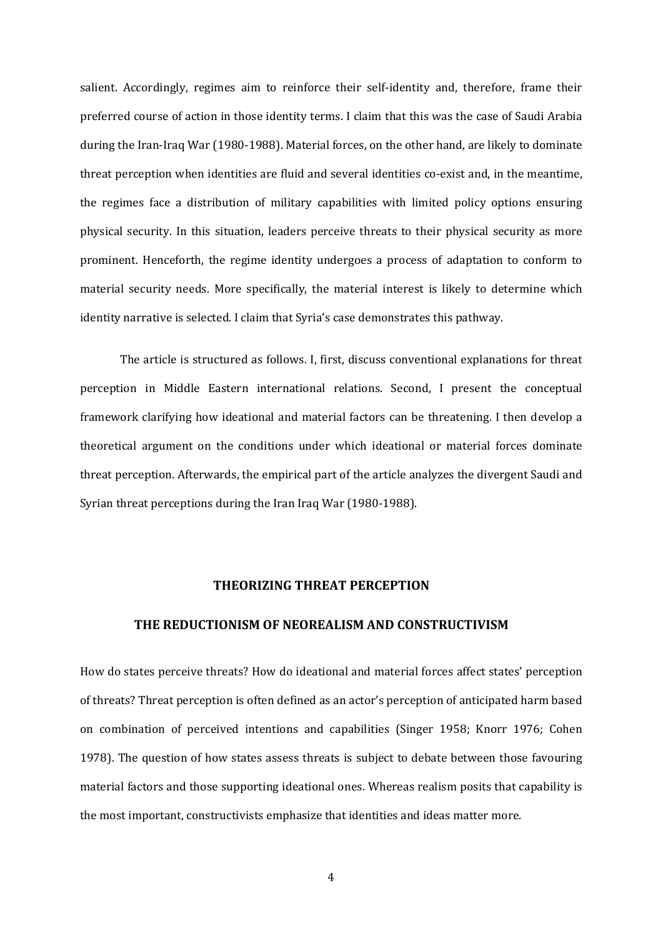salient. Accordingly, regimes aim to reinforce their self-identity and, therefore, frame their preferred course of action in those identity terms. I claim that this was the case of Saudi Arabia during the Iran-Iraq War (1980-1988). Material forces, on the other hand, are likely to dominate threat perception when identities are fluid and several identities co-exist and, in the meantime, the regimes face a distribution of military capabilities with limited policy options ensuring physical security. In this situation, leaders perceive threats to their physical security as more prominent. Henceforth, the regime identity undergoes a process of adaptation to conform to material security needs. More specifically, the material interest is likely to determine which identity narrative is selected. I claim that Syria's case demonstrates this pathway.

The article is structured as follows. I, first, discuss conventional explanations for threat perception in Middle Eastern international relations. Second, I present the conceptual framework clarifying how ideational and material factors can be threatening. I then develop a theoretical argument on the conditions under which ideational or material forces dominate threat perception. Afterwards, the empirical part of the article analyzes the divergent Saudi and Syrian threat perceptions during the Iran Iraq War (1980-1988).

#### **THEORIZING THREAT PERCEPTION**

#### **THE REDUCTIONISM OF NEOREALISM AND CONSTRUCTIVISM**

How do states perceive threats? How do ideational and material forces affect states' perception of threats? Threat perception is often defined as an actor's perception of anticipated harm based on combination of perceived intentions and capabilities (Singer 1958; Knorr 1976; Cohen 1978). The question of how states assess threats is subject to debate between those favouring material factors and those supporting ideational ones. Whereas realism posits that capability is the most important, constructivists emphasize that identities and ideas matter more.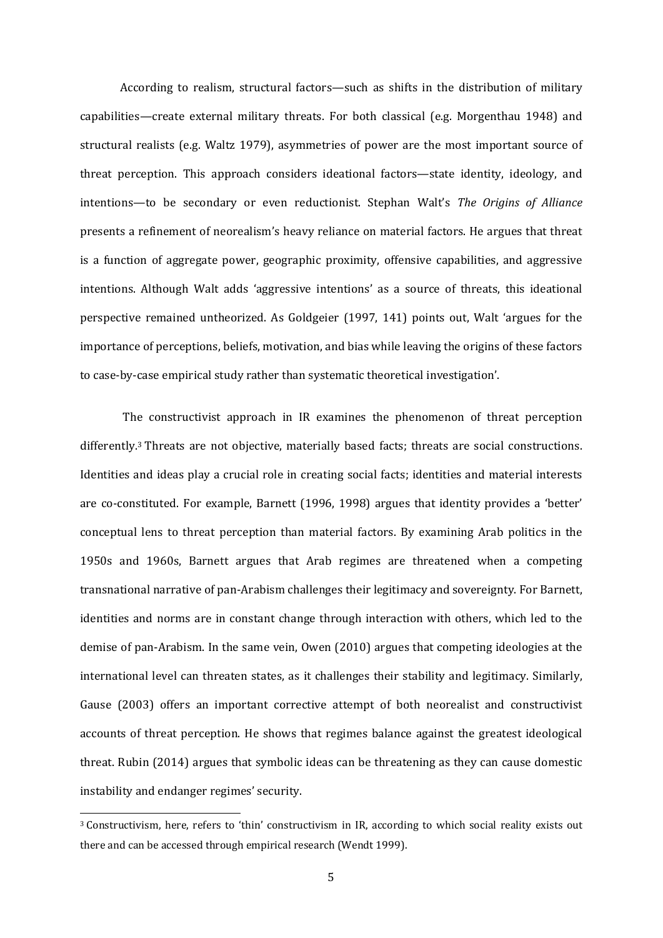According to realism, structural factors—such as shifts in the distribution of military capabilities—create external military threats. For both classical (e.g. Morgenthau 1948) and structural realists (e.g. Waltz 1979), asymmetries of power are the most important source of threat perception. This approach considers ideational factors—state identity, ideology, and intentions—to be secondary or even reductionist. Stephan Walt's *The Origins of Alliance* presents a refinement of neorealism's heavy reliance on material factors. He argues that threat is a function of aggregate power, geographic proximity, offensive capabilities, and aggressive intentions. Although Walt adds 'aggressive intentions' as a source of threats, this ideational perspective remained untheorized. As Goldgeier (1997, 141) points out, Walt 'argues for the importance of perceptions, beliefs, motivation, and bias while leaving the origins of these factors to case-by-case empirical study rather than systematic theoretical investigation'.

The constructivist approach in IR examines the phenomenon of threat perception differently.<sup>3</sup> Threats are not objective, materially based facts; threats are social constructions. Identities and ideas play a crucial role in creating social facts; identities and material interests are co-constituted. For example, Barnett (1996, 1998) argues that identity provides a 'better' conceptual lens to threat perception than material factors. By examining Arab politics in the 1950s and 1960s, Barnett argues that Arab regimes are threatened when a competing transnational narrative of pan-Arabism challenges their legitimacy and sovereignty. For Barnett, identities and norms are in constant change through interaction with others, which led to the demise of pan-Arabism. In the same vein, Owen  $(2010)$  argues that competing ideologies at the international level can threaten states, as it challenges their stability and legitimacy. Similarly, Gause (2003) offers an important corrective attempt of both neorealist and constructivist accounts of threat perception. He shows that regimes balance against the greatest ideological threat. Rubin (2014) argues that symbolic ideas can be threatening as they can cause domestic instability and endanger regimes' security.

<sup>&</sup>lt;sup>3</sup> Constructivism, here, refers to 'thin' constructivism in IR, according to which social reality exists out there and can be accessed through empirical research (Wendt 1999).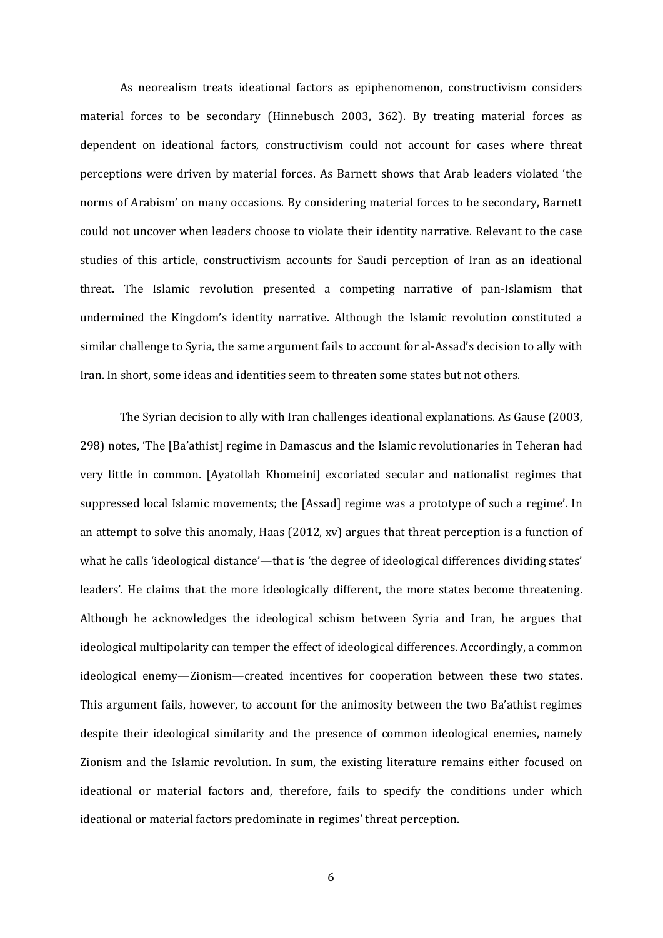As neorealism treats ideational factors as epiphenomenon, constructivism considers material forces to be secondary (Hinnebusch 2003, 362). By treating material forces as dependent on ideational factors, constructivism could not account for cases where threat perceptions were driven by material forces. As Barnett shows that Arab leaders violated 'the norms of Arabism' on many occasions. By considering material forces to be secondary, Barnett could not uncover when leaders choose to violate their identity narrative. Relevant to the case studies of this article, constructivism accounts for Saudi perception of Iran as an ideational threat. The Islamic revolution presented a competing narrative of pan-Islamism that undermined the Kingdom's identity narrative. Although the Islamic revolution constituted a similar challenge to Syria, the same argument fails to account for al-Assad's decision to ally with Iran. In short, some ideas and identities seem to threaten some states but not others.

The Syrian decision to ally with Iran challenges ideational explanations. As Gause (2003, 298) notes, 'The [Ba'athist] regime in Damascus and the Islamic revolutionaries in Teheran had very little in common. [Ayatollah Khomeini] excoriated secular and nationalist regimes that suppressed local Islamic movements; the [Assad] regime was a prototype of such a regime'. In an attempt to solve this anomaly, Haas (2012, xv) argues that threat perception is a function of what he calls 'ideological distance'—that is 'the degree of ideological differences dividing states' leaders'. He claims that the more ideologically different, the more states become threatening. Although he acknowledges the ideological schism between Syria and Iran, he argues that ideological multipolarity can temper the effect of ideological differences. Accordingly, a common ideological enemy-Zionism-created incentives for cooperation between these two states. This argument fails, however, to account for the animosity between the two Ba'athist regimes despite their ideological similarity and the presence of common ideological enemies, namely Zionism and the Islamic revolution. In sum, the existing literature remains either focused on ideational or material factors and, therefore, fails to specify the conditions under which ideational or material factors predominate in regimes' threat perception.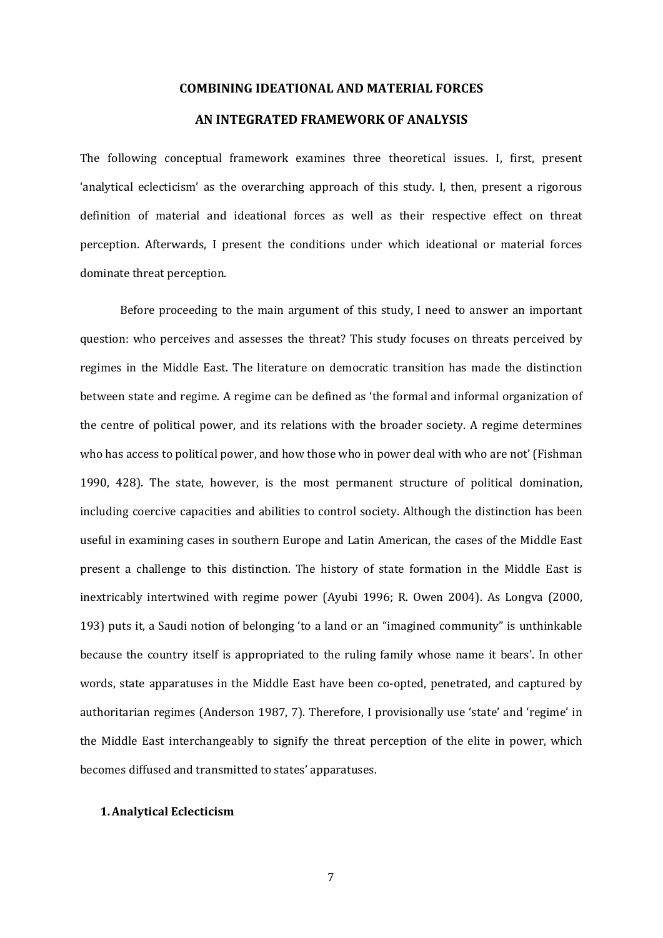#### **COMBINING IDEATIONAL AND MATERIAL FORCES**

## **AN INTEGRATED FRAMEWORK OF ANALYSIS**

The following conceptual framework examines three theoretical issues. I, first, present 'analytical eclecticism' as the overarching approach of this study. I, then, present a rigorous definition of material and ideational forces as well as their respective effect on threat perception. Afterwards, I present the conditions under which ideational or material forces dominate threat perception.

Before proceeding to the main argument of this study, I need to answer an important question: who perceives and assesses the threat? This study focuses on threats perceived by regimes in the Middle East. The literature on democratic transition has made the distinction between state and regime. A regime can be defined as 'the formal and informal organization of the centre of political power, and its relations with the broader society. A regime determines who has access to political power, and how those who in power deal with who are not' (Fishman 1990, 428). The state, however, is the most permanent structure of political domination, including coercive capacities and abilities to control society. Although the distinction has been useful in examining cases in southern Europe and Latin American, the cases of the Middle East present a challenge to this distinction. The history of state formation in the Middle East is inextricably intertwined with regime power (Ayubi 1996; R. Owen 2004). As Longva (2000, 193) puts it, a Saudi notion of belonging 'to a land or an "imagined community" is unthinkable because the country itself is appropriated to the ruling family whose name it bears'. In other words, state apparatuses in the Middle East have been co-opted, penetrated, and captured by authoritarian regimes (Anderson 1987, 7). Therefore, I provisionally use 'state' and 'regime' in the Middle East interchangeably to signify the threat perception of the elite in power, which becomes diffused and transmitted to states' apparatuses.

#### **1.Analytical Eclecticism**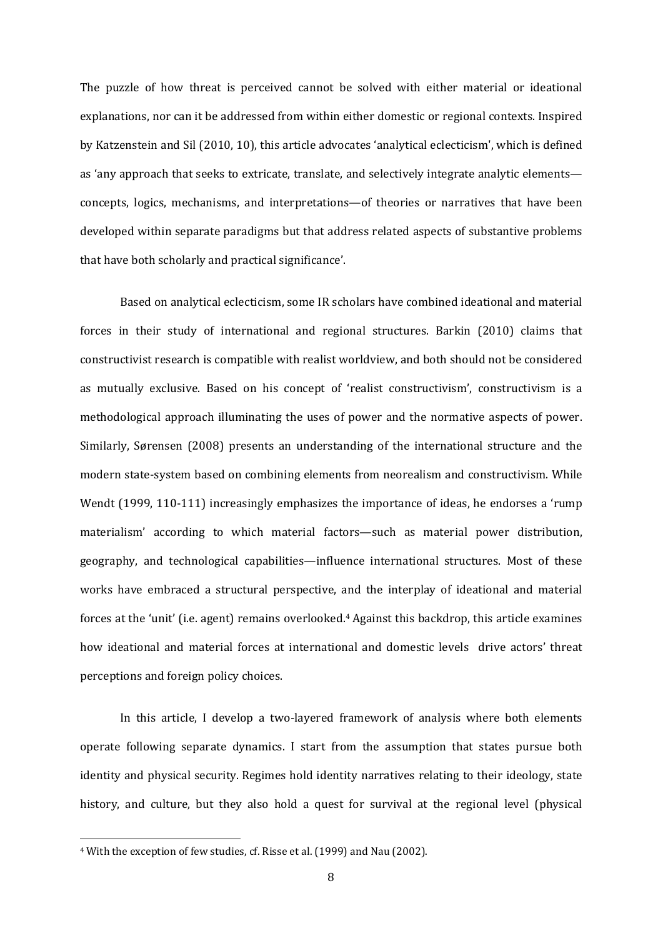The puzzle of how threat is perceived cannot be solved with either material or ideational explanations, nor can it be addressed from within either domestic or regional contexts. Inspired by Katzenstein and Sil (2010, 10), this article advocates 'analytical eclecticism', which is defined as 'any approach that seeks to extricate, translate, and selectively integrate analytic elements concepts, logics, mechanisms, and interpretations—of theories or narratives that have been developed within separate paradigms but that address related aspects of substantive problems that have both scholarly and practical significance'.

Based on analytical eclecticism, some IR scholars have combined ideational and material forces in their study of international and regional structures. Barkin (2010) claims that constructivist research is compatible with realist worldview, and both should not be considered as mutually exclusive. Based on his concept of 'realist constructivism', constructivism is a methodological approach illuminating the uses of power and the normative aspects of power. Similarly, Sørensen (2008) presents an understanding of the international structure and the modern state-system based on combining elements from neorealism and constructivism. While Wendt  $(1999, 110-111)$  increasingly emphasizes the importance of ideas, he endorses a 'rump materialism' according to which material factors—such as material power distribution, geography, and technological capabilities—influence international structures. Most of these works have embraced a structural perspective, and the interplay of ideational and material forces at the 'unit' (i.e. agent) remains overlooked.<sup>4</sup> Against this backdrop, this article examines how ideational and material forces at international and domestic levels drive actors' threat perceptions and foreign policy choices.

In this article, I develop a two-layered framework of analysis where both elements operate following separate dynamics. I start from the assumption that states pursue both identity and physical security. Regimes hold identity narratives relating to their ideology, state history, and culture, but they also hold a quest for survival at the regional level (physical

<sup>&</sup>lt;sup>4</sup> With the exception of few studies, cf. Risse et al. (1999) and Nau (2002).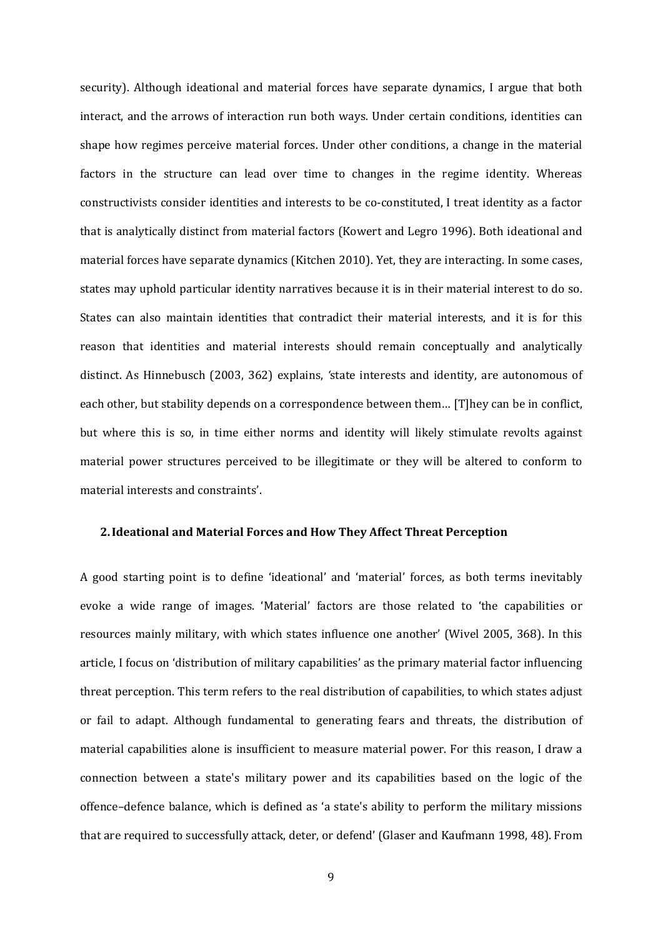security). Although ideational and material forces have separate dynamics, I argue that both interact, and the arrows of interaction run both ways. Under certain conditions, identities can shape how regimes perceive material forces. Under other conditions, a change in the material factors in the structure can lead over time to changes in the regime identity. Whereas constructivists consider identities and interests to be co-constituted. I treat identity as a factor that is analytically distinct from material factors (Kowert and Legro 1996). Both ideational and material forces have separate dynamics (Kitchen 2010). Yet, they are interacting. In some cases, states may uphold particular identity narratives because it is in their material interest to do so. States can also maintain identities that contradict their material interests, and it is for this reason that identities and material interests should remain conceptually and analytically distinct. As Hinnebusch (2003, 362) explains, 'state interests and identity, are autonomous of each other, but stability depends on a correspondence between them... [T]hey can be in conflict, but where this is so, in time either norms and identity will likely stimulate revolts against material power structures perceived to be illegitimate or they will be altered to conform to material interests and constraints'.

#### **2.Ideational and Material Forces and How They Affect Threat Perception**

A good starting point is to define 'ideational' and 'material' forces, as both terms inevitably evoke a wide range of images. 'Material' factors are those related to 'the capabilities or resources mainly military, with which states influence one another' (Wivel 2005, 368). In this article, I focus on 'distribution of military capabilities' as the primary material factor influencing threat perception. This term refers to the real distribution of capabilities, to which states adjust or fail to adapt. Although fundamental to generating fears and threats, the distribution of material capabilities alone is insufficient to measure material power. For this reason, I draw a connection between a state's military power and its capabilities based on the logic of the offence–defence balance, which is defined as 'a state's ability to perform the military missions that are required to successfully attack, deter, or defend' (Glaser and Kaufmann 1998, 48). From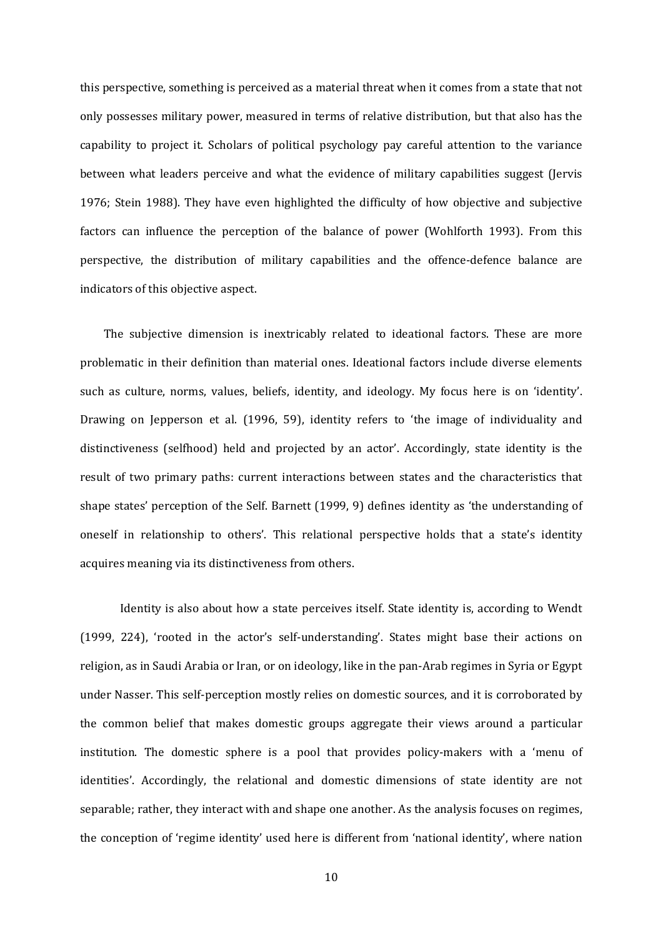this perspective, something is perceived as a material threat when it comes from a state that not only possesses military power, measured in terms of relative distribution, but that also has the capability to project it. Scholars of political psychology pay careful attention to the variance between what leaders perceive and what the evidence of military capabilities suggest (Jervis 1976; Stein 1988). They have even highlighted the difficulty of how objective and subjective factors can influence the perception of the balance of power (Wohlforth 1993). From this perspective, the distribution of military capabilities and the offence-defence balance are indicators of this objective aspect.

The subjective dimension is inextricably related to ideational factors. These are more problematic in their definition than material ones. Ideational factors include diverse elements such as culture, norms, values, beliefs, identity, and ideology. My focus here is on 'identity'. Drawing on Jepperson et al. (1996, 59), identity refers to 'the image of individuality and distinctiveness (selfhood) held and projected by an actor'. Accordingly, state identity is the result of two primary paths: current interactions between states and the characteristics that shape states' perception of the Self. Barnett  $(1999, 9)$  defines identity as 'the understanding of oneself in relationship to others'. This relational perspective holds that a state's identity acquires meaning via its distinctiveness from others.

Identity is also about how a state perceives itself. State identity is, according to Wendt (1999, 224), 'rooted in the actor's self-understanding'. States might base their actions on religion, as in Saudi Arabia or Iran, or on ideology, like in the pan-Arab regimes in Syria or Egypt under Nasser. This self-perception mostly relies on domestic sources, and it is corroborated by the common belief that makes domestic groups aggregate their views around a particular institution. The domestic sphere is a pool that provides policy-makers with a 'menu of identities'. Accordingly, the relational and domestic dimensions of state identity are not separable; rather, they interact with and shape one another. As the analysis focuses on regimes, the conception of 'regime identity' used here is different from 'national identity', where nation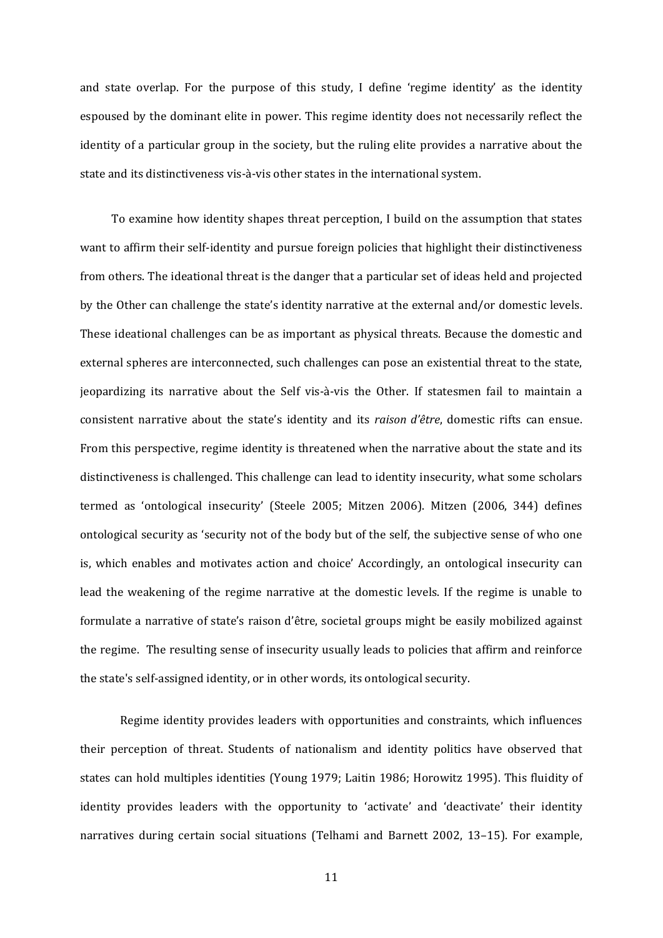and state overlap. For the purpose of this study, I define 'regime identity' as the identity espoused by the dominant elite in power. This regime identity does not necessarily reflect the identity of a particular group in the society, but the ruling elite provides a narrative about the state and its distinctiveness vis-à-vis other states in the international system.

To examine how identity shapes threat perception, I build on the assumption that states want to affirm their self-identity and pursue foreign policies that highlight their distinctiveness from others. The ideational threat is the danger that a particular set of ideas held and projected by the Other can challenge the state's identity narrative at the external and/or domestic levels. These ideational challenges can be as important as physical threats. Because the domestic and external spheres are interconnected, such challenges can pose an existential threat to the state, jeopardizing its narrative about the Self vis-à-vis the Other. If statesmen fail to maintain a consistent narrative about the state's identity and its *raison d'être*, domestic rifts can ensue. From this perspective, regime identity is threatened when the narrative about the state and its distinctiveness is challenged. This challenge can lead to identity insecurity, what some scholars termed as 'ontological insecurity' (Steele 2005; Mitzen 2006). Mitzen (2006, 344) defines ontological security as 'security not of the body but of the self, the subjective sense of who one is, which enables and motivates action and choice' Accordingly, an ontological insecurity can lead the weakening of the regime narrative at the domestic levels. If the regime is unable to formulate a narrative of state's raison d'être, societal groups might be easily mobilized against the regime. The resulting sense of insecurity usually leads to policies that affirm and reinforce the state's self-assigned identity, or in other words, its ontological security.

Regime identity provides leaders with opportunities and constraints, which influences their perception of threat. Students of nationalism and identity politics have observed that states can hold multiples identities (Young 1979; Laitin 1986; Horowitz 1995). This fluidity of identity provides leaders with the opportunity to 'activate' and 'deactivate' their identity narratives during certain social situations (Telhami and Barnett 2002, 13–15). For example,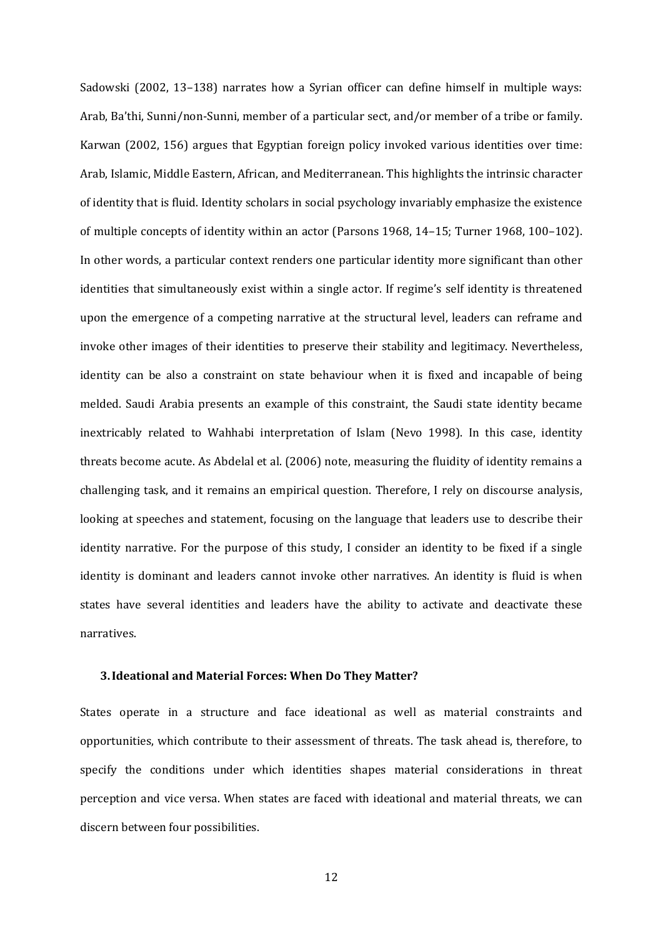Sadowski (2002, 13–138) narrates how a Syrian officer can define himself in multiple ways: Arab, Ba'thi, Sunni/non-Sunni, member of a particular sect, and/or member of a tribe or family. Karwan (2002, 156) argues that Egyptian foreign policy invoked various identities over time: Arab, Islamic, Middle Eastern, African, and Mediterranean. This highlights the intrinsic character of identity that is fluid. Identity scholars in social psychology invariably emphasize the existence of multiple concepts of identity within an actor (Parsons 1968, 14-15; Turner 1968, 100-102). In other words, a particular context renders one particular identity more significant than other identities that simultaneously exist within a single actor. If regime's self identity is threatened upon the emergence of a competing narrative at the structural level, leaders can reframe and invoke other images of their identities to preserve their stability and legitimacy. Nevertheless, identity can be also a constraint on state behaviour when it is fixed and incapable of being melded. Saudi Arabia presents an example of this constraint, the Saudi state identity became inextricably related to Wahhabi interpretation of Islam (Nevo 1998). In this case, identity threats become acute. As Abdelal et al. (2006) note, measuring the fluidity of identity remains a challenging task, and it remains an empirical question. Therefore, I rely on discourse analysis, looking at speeches and statement, focusing on the language that leaders use to describe their identity narrative. For the purpose of this study, I consider an identity to be fixed if a single identity is dominant and leaders cannot invoke other narratives. An identity is fluid is when states have several identities and leaders have the ability to activate and deactivate these narratives. 

#### **3.Ideational and Material Forces: When Do They Matter?**

States operate in a structure and face ideational as well as material constraints and opportunities, which contribute to their assessment of threats. The task ahead is, therefore, to specify the conditions under which identities shapes material considerations in threat perception and vice versa. When states are faced with ideational and material threats, we can discern between four possibilities.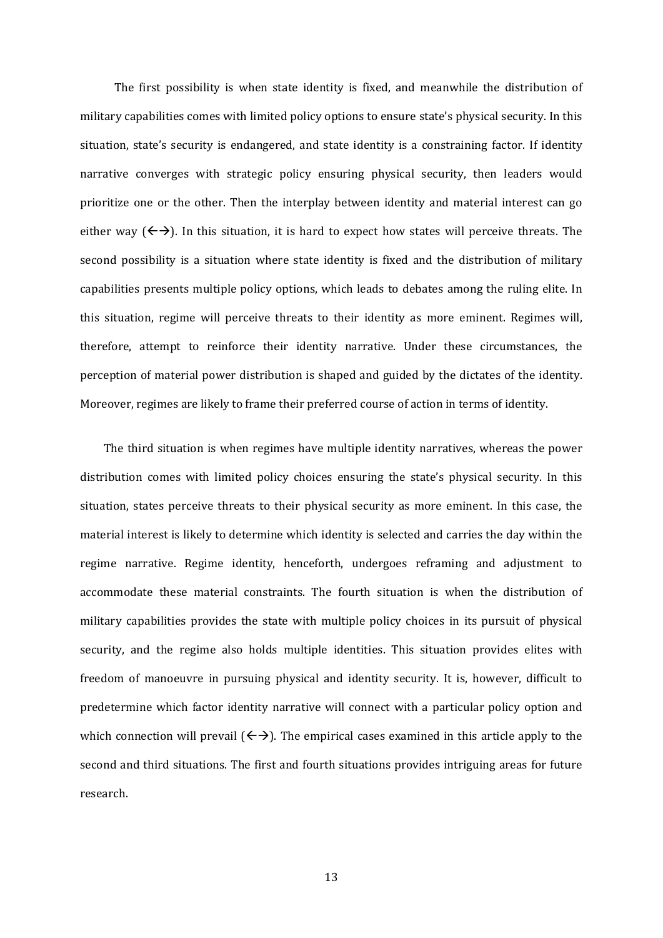The first possibility is when state identity is fixed, and meanwhile the distribution of military capabilities comes with limited policy options to ensure state's physical security. In this situation, state's security is endangered, and state identity is a constraining factor. If identity narrative converges with strategic policy ensuring physical security, then leaders would prioritize one or the other. Then the interplay between identity and material interest can go either way  $(\leftrightarrow)$ . In this situation, it is hard to expect how states will perceive threats. The second possibility is a situation where state identity is fixed and the distribution of military capabilities presents multiple policy options, which leads to debates among the ruling elite. In this situation, regime will perceive threats to their identity as more eminent. Regimes will, therefore, attempt to reinforce their identity narrative. Under these circumstances, the perception of material power distribution is shaped and guided by the dictates of the identity. Moreover, regimes are likely to frame their preferred course of action in terms of identity.

The third situation is when regimes have multiple identity narratives, whereas the power distribution comes with limited policy choices ensuring the state's physical security. In this situation, states perceive threats to their physical security as more eminent. In this case, the material interest is likely to determine which identity is selected and carries the day within the regime narrative. Regime identity, henceforth, undergoes reframing and adjustment to accommodate these material constraints. The fourth situation is when the distribution of military capabilities provides the state with multiple policy choices in its pursuit of physical security, and the regime also holds multiple identities. This situation provides elites with freedom of manoeuvre in pursuing physical and identity security. It is, however, difficult to predetermine which factor identity narrative will connect with a particular policy option and which connection will prevail  $(\leftrightarrow)$ . The empirical cases examined in this article apply to the second and third situations. The first and fourth situations provides intriguing areas for future research.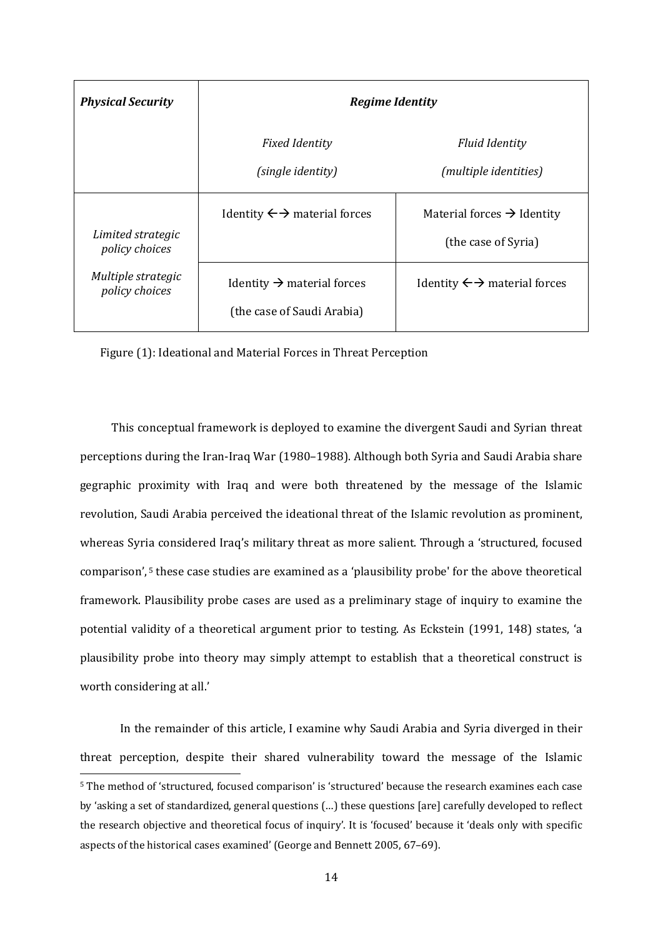| <b>Physical Security</b>             | <b>Regime Identity</b>                                               |                                                               |
|--------------------------------------|----------------------------------------------------------------------|---------------------------------------------------------------|
|                                      | <b>Fixed Identity</b><br>(single identity)                           | <b>Fluid Identity</b><br>(multiple identities)                |
| Limited strategic<br>policy choices  | Identity $\leftrightarrow$ material forces                           | Material forces $\rightarrow$ Identity<br>(the case of Syria) |
| Multiple strategic<br>policy choices | Identity $\rightarrow$ material forces<br>(the case of Saudi Arabia) | Identity $\leftrightarrow$ material forces                    |

Figure (1): Ideational and Material Forces in Threat Perception

This conceptual framework is deployed to examine the divergent Saudi and Syrian threat perceptions during the Iran-Iraq War (1980–1988). Although both Syria and Saudi Arabia share gegraphic proximity with Iraq and were both threatened by the message of the Islamic revolution, Saudi Arabia perceived the ideational threat of the Islamic revolution as prominent, whereas Syria considered Iraq's military threat as more salient. Through a 'structured, focused comparison', <sup>5</sup> these case studies are examined as a 'plausibility probe' for the above theoretical framework. Plausibility probe cases are used as a preliminary stage of inquiry to examine the potential validity of a theoretical argument prior to testing. As Eckstein (1991, 148) states, 'a plausibility probe into theory may simply attempt to establish that a theoretical construct is worth considering at all.'

In the remainder of this article, I examine why Saudi Arabia and Syria diverged in their threat perception, despite their shared vulnerability toward the message of the Islamic <sup>5</sup> The method of 'structured, focused comparison' is 'structured' because the research examines each case by 'asking a set of standardized, general questions (...) these questions [are] carefully developed to reflect the research objective and theoretical focus of inquiry'. It is 'focused' because it 'deals only with specific aspects of the historical cases examined' (George and Bennett 2005, 67-69).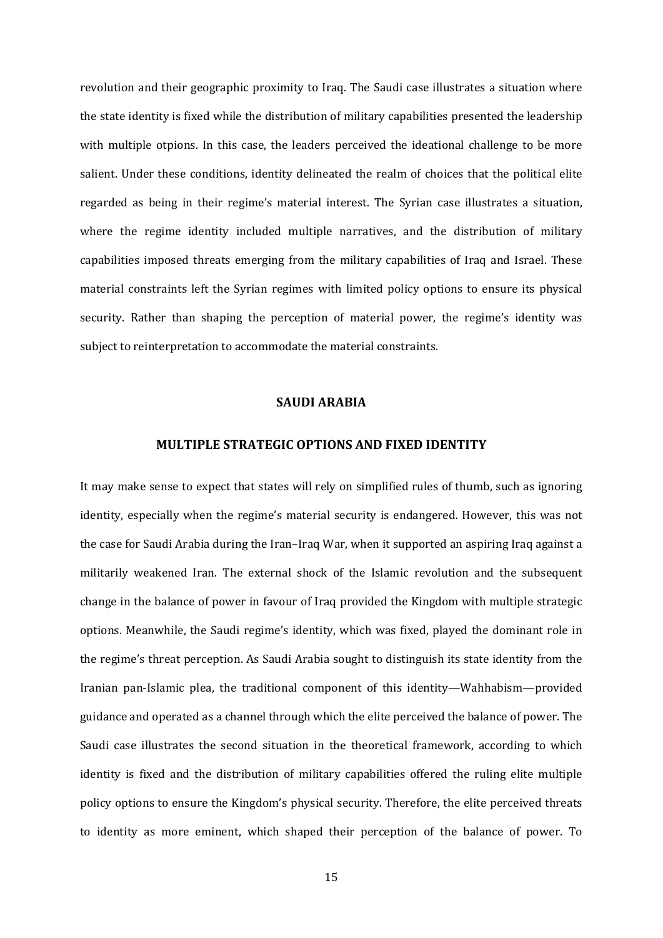revolution and their geographic proximity to Iraq. The Saudi case illustrates a situation where the state identity is fixed while the distribution of military capabilities presented the leadership with multiple otpions. In this case, the leaders perceived the ideational challenge to be more salient. Under these conditions, identity delineated the realm of choices that the political elite regarded as being in their regime's material interest. The Syrian case illustrates a situation, where the regime identity included multiple narratives, and the distribution of military capabilities imposed threats emerging from the military capabilities of Iraq and Israel. These material constraints left the Syrian regimes with limited policy options to ensure its physical security. Rather than shaping the perception of material power, the regime's identity was subject to reinterpretation to accommodate the material constraints.

#### **SAUDI ARABIA**

#### **MULTIPLE STRATEGIC OPTIONS AND FIXED IDENTITY**

It may make sense to expect that states will rely on simplified rules of thumb, such as ignoring identity, especially when the regime's material security is endangered. However, this was not the case for Saudi Arabia during the Iran–Iraq War, when it supported an aspiring Iraq against a militarily weakened Iran. The external shock of the Islamic revolution and the subsequent change in the balance of power in favour of Iraq provided the Kingdom with multiple strategic options. Meanwhile, the Saudi regime's identity, which was fixed, played the dominant role in the regime's threat perception. As Saudi Arabia sought to distinguish its state identity from the Iranian pan-Islamic plea, the traditional component of this identity—Wahhabism—provided guidance and operated as a channel through which the elite perceived the balance of power. The Saudi case illustrates the second situation in the theoretical framework, according to which identity is fixed and the distribution of military capabilities offered the ruling elite multiple policy options to ensure the Kingdom's physical security. Therefore, the elite perceived threats to identity as more eminent, which shaped their perception of the balance of power. To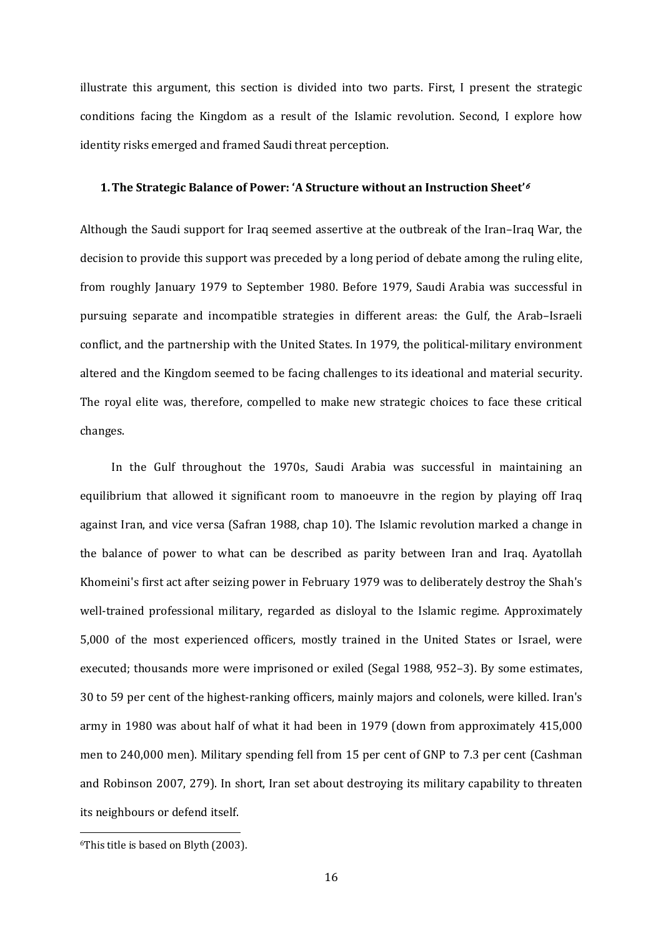illustrate this argument, this section is divided into two parts. First, I present the strategic conditions facing the Kingdom as a result of the Islamic revolution. Second, I explore how identity risks emerged and framed Saudi threat perception.

#### **1.The Strategic Balance of Power: 'A Structure without an Instruction Sheet'**<sup>6</sup>

Although the Saudi support for Iraq seemed assertive at the outbreak of the Iran–Iraq War, the decision to provide this support was preceded by a long period of debate among the ruling elite, from roughly January 1979 to September 1980. Before 1979, Saudi Arabia was successful in pursuing separate and incompatible strategies in different areas: the Gulf, the Arab–Israeli conflict, and the partnership with the United States. In 1979, the political-military environment altered and the Kingdom seemed to be facing challenges to its ideational and material security. The royal elite was, therefore, compelled to make new strategic choices to face these critical changes. 

In the Gulf throughout the 1970s, Saudi Arabia was successful in maintaining an equilibrium that allowed it significant room to manoeuvre in the region by playing off Iraq against Iran, and vice versa (Safran 1988, chap 10). The Islamic revolution marked a change in the balance of power to what can be described as parity between Iran and Iraq. Ayatollah Khomeini's first act after seizing power in February 1979 was to deliberately destroy the Shah's well-trained professional military, regarded as disloyal to the Islamic regime. Approximately 5,000 of the most experienced officers, mostly trained in the United States or Israel, were executed; thousands more were imprisoned or exiled (Segal 1988, 952–3). By some estimates, 30 to 59 per cent of the highest-ranking officers, mainly majors and colonels, were killed. Iran's army in 1980 was about half of what it had been in 1979 (down from approximately 415,000 men to 240,000 men). Military spending fell from 15 per cent of GNP to 7.3 per cent (Cashman and Robinson 2007, 279). In short, Iran set about destroying its military capability to threaten its neighbours or defend itself.

  $6$ This title is based on Blyth (2003).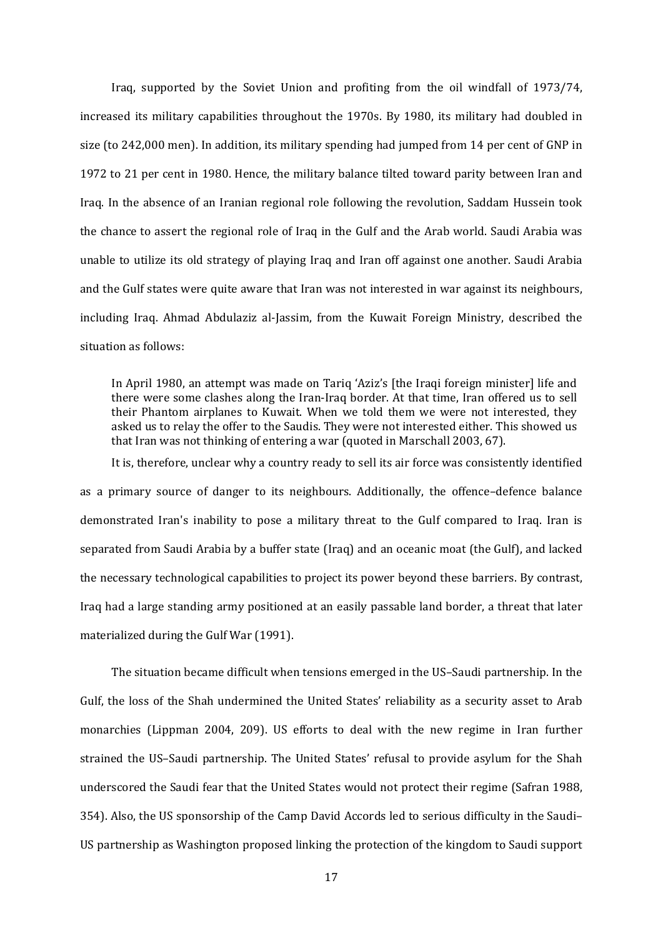Iraq, supported by the Soviet Union and profiting from the oil windfall of 1973/74, increased its military capabilities throughout the 1970s. By 1980, its military had doubled in size (to 242,000 men). In addition, its military spending had jumped from 14 per cent of GNP in 1972 to 21 per cent in 1980. Hence, the military balance tilted toward parity between Iran and Iraq. In the absence of an Iranian regional role following the revolution, Saddam Hussein took the chance to assert the regional role of Iraq in the Gulf and the Arab world. Saudi Arabia was unable to utilize its old strategy of playing Iraq and Iran off against one another. Saudi Arabia and the Gulf states were quite aware that Iran was not interested in war against its neighbours, including Iraq. Ahmad Abdulaziz al-Jassim, from the Kuwait Foreign Ministry, described the situation as follows:

In April 1980, an attempt was made on Tariq 'Aziz's [the Iraqi foreign minister] life and there were some clashes along the Iran-Iraq border. At that time, Iran offered us to sell their Phantom airplanes to Kuwait. When we told them we were not interested, they asked us to relay the offer to the Saudis. They were not interested either. This showed us that Iran was not thinking of entering a war (quoted in Marschall 2003, 67).

It is, therefore, unclear why a country ready to sell its air force was consistently identified as a primary source of danger to its neighbours. Additionally, the offence-defence balance demonstrated Iran's inability to pose a military threat to the Gulf compared to Iraq. Iran is separated from Saudi Arabia by a buffer state (Iraq) and an oceanic moat (the Gulf), and lacked the necessary technological capabilities to project its power beyond these barriers. By contrast, Iraq had a large standing army positioned at an easily passable land border, a threat that later materialized during the Gulf War (1991).

The situation became difficult when tensions emerged in the US-Saudi partnership. In the Gulf, the loss of the Shah undermined the United States' reliability as a security asset to Arab monarchies (Lippman 2004, 209). US efforts to deal with the new regime in Iran further strained the US-Saudi partnership. The United States' refusal to provide asylum for the Shah underscored the Saudi fear that the United States would not protect their regime (Safran 1988, 354). Also, the US sponsorship of the Camp David Accords led to serious difficulty in the Saudi– US partnership as Washington proposed linking the protection of the kingdom to Saudi support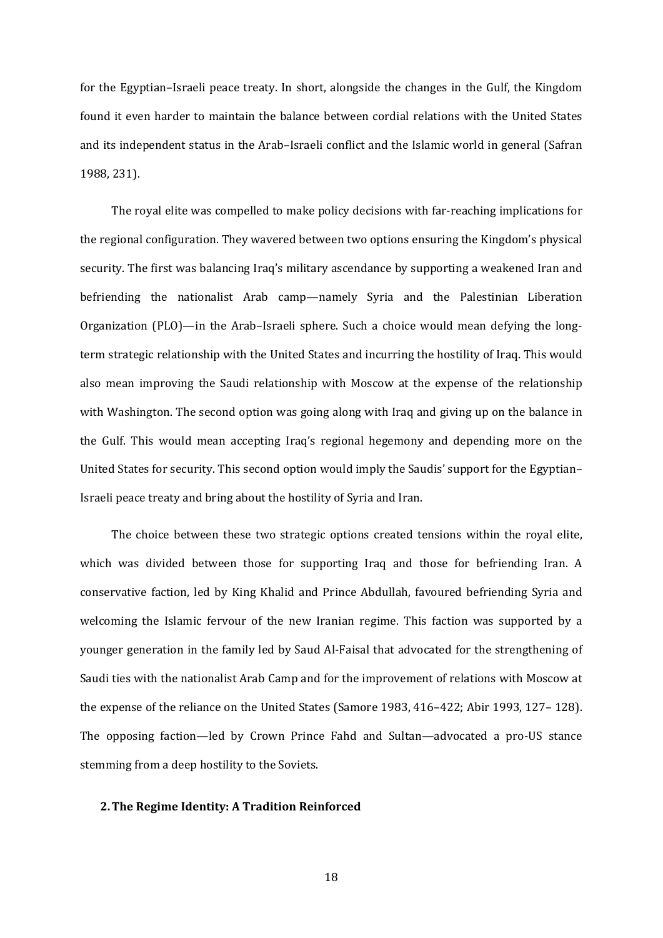for the Egyptian–Israeli peace treaty. In short, alongside the changes in the Gulf, the Kingdom found it even harder to maintain the balance between cordial relations with the United States and its independent status in the Arab–Israeli conflict and the Islamic world in general (Safran 1988, 231). 

The royal elite was compelled to make policy decisions with far-reaching implications for the regional configuration. They wavered between two options ensuring the Kingdom's physical security. The first was balancing Iraq's military ascendance by supporting a weakened Iran and befriending the nationalist Arab camp—namely Syria and the Palestinian Liberation Organization  $(PLO)$ —in the Arab–Israeli sphere. Such a choice would mean defying the longterm strategic relationship with the United States and incurring the hostility of Iraq. This would also mean improving the Saudi relationship with Moscow at the expense of the relationship with Washington. The second option was going along with Iraq and giving up on the balance in the Gulf. This would mean accepting Iraq's regional hegemony and depending more on the United States for security. This second option would imply the Saudis' support for the Egyptian– Israeli peace treaty and bring about the hostility of Syria and Iran.

The choice between these two strategic options created tensions within the royal elite, which was divided between those for supporting Iraq and those for befriending Iran. A conservative faction, led by King Khalid and Prince Abdullah, favoured befriending Syria and welcoming the Islamic fervour of the new Iranian regime. This faction was supported by a younger generation in the family led by Saud Al-Faisal that advocated for the strengthening of Saudi ties with the nationalist Arab Camp and for the improvement of relations with Moscow at the expense of the reliance on the United States (Samore 1983, 416–422; Abir 1993, 127–128). The opposing faction—led by Crown Prince Fahd and Sultan—advocated a pro-US stance stemming from a deep hostility to the Soviets.

#### **2.The Regime Identity: A Tradition Reinforced**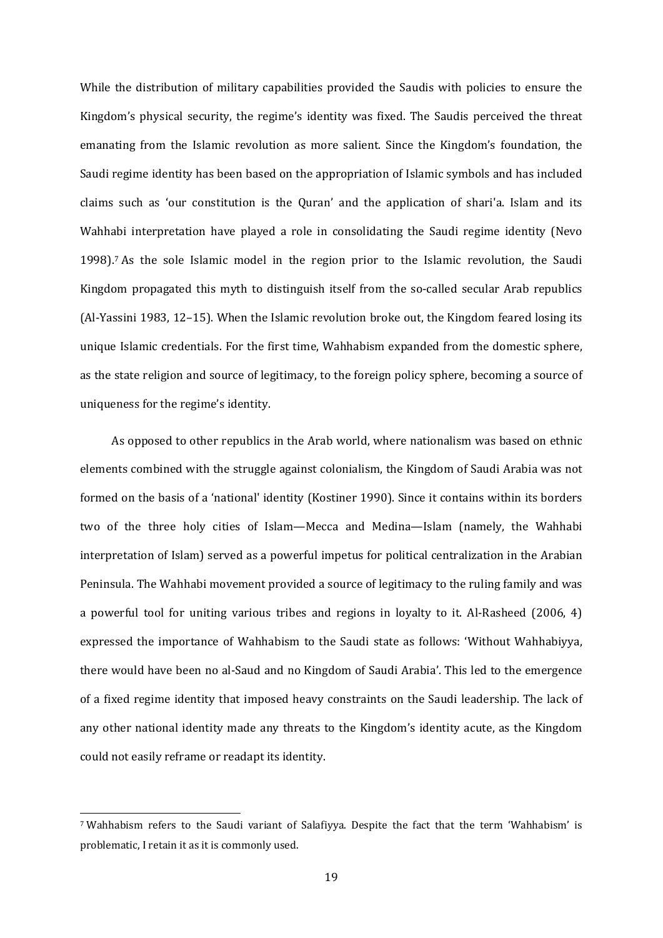While the distribution of military capabilities provided the Saudis with policies to ensure the Kingdom's physical security, the regime's identity was fixed. The Saudis perceived the threat emanating from the Islamic revolution as more salient. Since the Kingdom's foundation, the Saudi regime identity has been based on the appropriation of Islamic symbols and has included claims such as 'our constitution is the Ouran' and the application of shari'a. Islam and its Wahhabi interpretation have played a role in consolidating the Saudi regime identity (Nevo 1998).<sup>7</sup> As the sole Islamic model in the region prior to the Islamic revolution, the Saudi Kingdom propagated this myth to distinguish itself from the so-called secular Arab republics  $(AI-Yassini 1983, 12-15)$ . When the Islamic revolution broke out, the Kingdom feared losing its unique Islamic credentials. For the first time, Wahhabism expanded from the domestic sphere, as the state religion and source of legitimacy, to the foreign policy sphere, becoming a source of uniqueness for the regime's identity.

As opposed to other republics in the Arab world, where nationalism was based on ethnic elements combined with the struggle against colonialism, the Kingdom of Saudi Arabia was not formed on the basis of a 'national' identity (Kostiner 1990). Since it contains within its borders two of the three holy cities of Islam—Mecca and Medina—Islam (namely, the Wahhabi interpretation of Islam) served as a powerful impetus for political centralization in the Arabian Peninsula. The Wahhabi movement provided a source of legitimacy to the ruling family and was a powerful tool for uniting various tribes and regions in loyalty to it. Al-Rasheed  $(2006, 4)$ expressed the importance of Wahhabism to the Saudi state as follows: 'Without Wahhabiyya, there would have been no al-Saud and no Kingdom of Saudi Arabia'. This led to the emergence of a fixed regime identity that imposed heavy constraints on the Saudi leadership. The lack of any other national identity made any threats to the Kingdom's identity acute, as the Kingdom could not easily reframe or readapt its identity.

<sup>&</sup>lt;sup>7</sup> Wahhabism refers to the Saudi variant of Salafiyya. Despite the fact that the term 'Wahhabism' is problematic, I retain it as it is commonly used.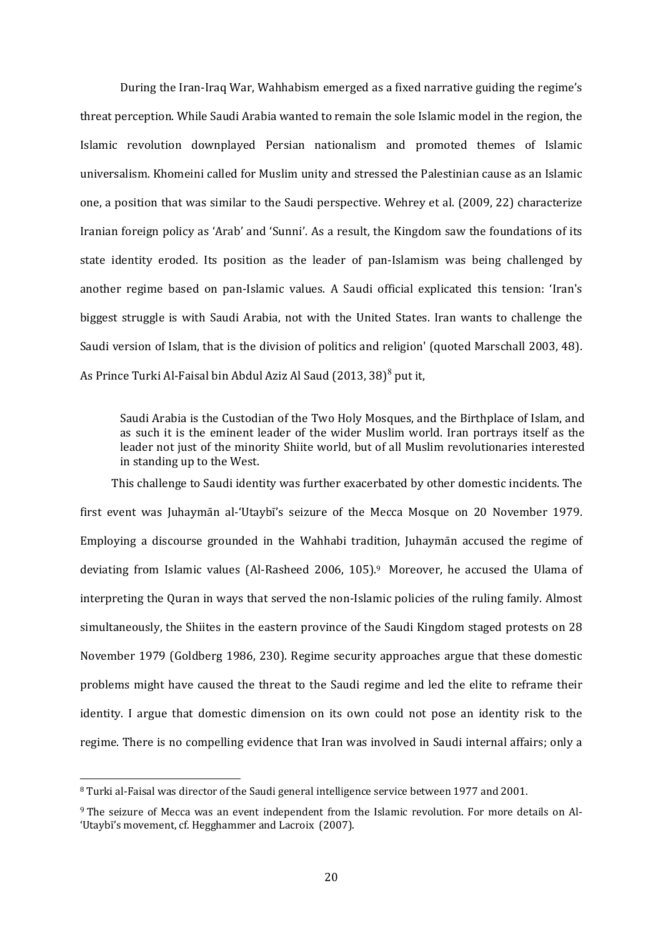During the Iran-Iraq War, Wahhabism emerged as a fixed narrative guiding the regime's threat perception. While Saudi Arabia wanted to remain the sole Islamic model in the region, the Islamic revolution downplayed Persian nationalism and promoted themes of Islamic universalism. Khomeini called for Muslim unity and stressed the Palestinian cause as an Islamic one, a position that was similar to the Saudi perspective. Wehrey et al. (2009, 22) characterize Iranian foreign policy as 'Arab' and 'Sunni'. As a result, the Kingdom saw the foundations of its state identity eroded. Its position as the leader of pan-Islamism was being challenged by another regime based on pan-Islamic values. A Saudi official explicated this tension: 'Iran's biggest struggle is with Saudi Arabia, not with the United States. Iran wants to challenge the Saudi version of Islam, that is the division of politics and religion' (quoted Marschall 2003, 48). As Prince Turki Al-Faisal bin Abdul Aziz Al Saud (2013, 38) $^8$  put it,

Saudi Arabia is the Custodian of the Two Holy Mosques, and the Birthplace of Islam, and as such it is the eminent leader of the wider Muslim world. Iran portrays itself as the leader not just of the minority Shiite world, but of all Muslim revolutionaries interested in standing up to the West.

This challenge to Saudi identity was further exacerbated by other domestic incidents. The first event was Juhaymān al-'Utaybī's seizure of the Mecca Mosque on 20 November 1979. Employing a discourse grounded in the Wahhabi tradition, Juhaymān accused the regime of deviating from Islamic values (Al-Rasheed 2006, 105).<sup>9</sup> Moreover, he accused the Ulama of interpreting the Quran in ways that served the non-Islamic policies of the ruling family. Almost simultaneously, the Shiites in the eastern province of the Saudi Kingdom staged protests on 28 November 1979 (Goldberg 1986, 230). Regime security approaches argue that these domestic problems might have caused the threat to the Saudi regime and led the elite to reframe their identity. I argue that domestic dimension on its own could not pose an identity risk to the regime. There is no compelling evidence that Iran was involved in Saudi internal affairs; only a

<sup>&</sup>lt;sup>8</sup> Turki al-Faisal was director of the Saudi general intelligence service between 1977 and 2001.

 $9$  The seizure of Mecca was an event independent from the Islamic revolution. For more details on Al-'Utaybī's movement, cf. Hegghammer and Lacroix (2007).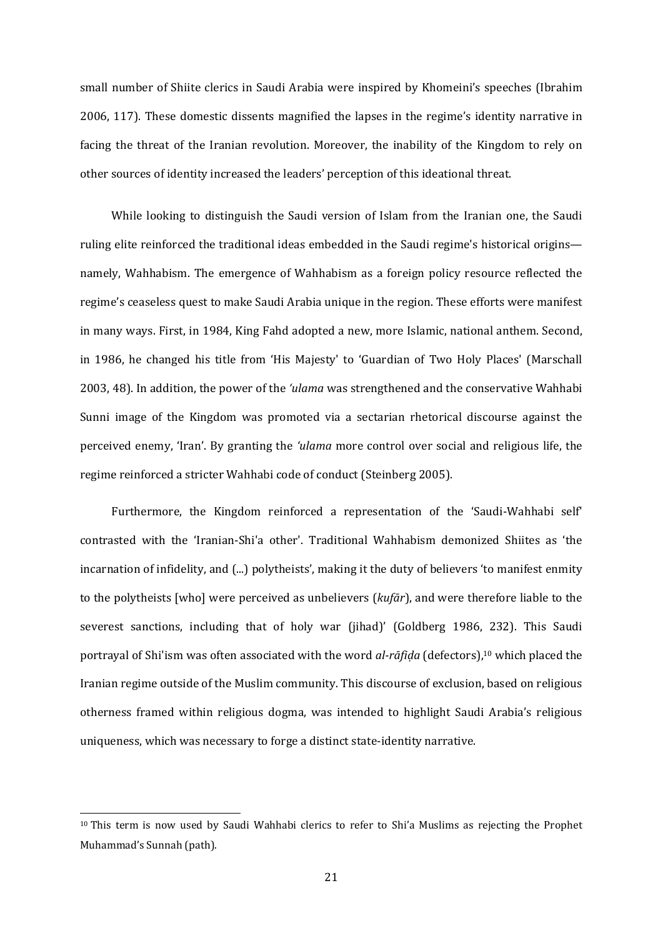small number of Shiite clerics in Saudi Arabia were inspired by Khomeini's speeches (Ibrahim 2006, 117). These domestic dissents magnified the lapses in the regime's identity narrative in facing the threat of the Iranian revolution. Moreover, the inability of the Kingdom to rely on other sources of identity increased the leaders' perception of this ideational threat.

While looking to distinguish the Saudi version of Islam from the Iranian one, the Saudi ruling elite reinforced the traditional ideas embedded in the Saudi regime's historical origins namely, Wahhabism. The emergence of Wahhabism as a foreign policy resource reflected the regime's ceaseless quest to make Saudi Arabia unique in the region. These efforts were manifest in many ways. First, in 1984, King Fahd adopted a new, more Islamic, national anthem. Second, in 1986, he changed his title from 'His Majesty' to 'Guardian of Two Holy Places' (Marschall 2003, 48). In addition, the power of the 'ulama was strengthened and the conservative Wahhabi Sunni image of the Kingdom was promoted via a sectarian rhetorical discourse against the perceived enemy, 'Iran'. By granting the *'ulama* more control over social and religious life, the regime reinforced a stricter Wahhabi code of conduct (Steinberg 2005).

Furthermore, the Kingdom reinforced a representation of the 'Saudi-Wahhabi self' contrasted with the 'Iranian-Shi'a other'. Traditional Wahhabism demonized Shiites as 'the incarnation of infidelity, and (...) polytheists', making it the duty of believers 'to manifest enmity to the polytheists [who] were perceived as unbelievers (*kufār*), and were therefore liable to the severest sanctions, including that of holy war (jihad)' (Goldberg 1986, 232). This Saudi portrayal of Shi'ism was often associated with the word *al-rāfida* (defectors),<sup>10</sup> which placed the Iranian regime outside of the Muslim community. This discourse of exclusion, based on religious otherness framed within religious dogma, was intended to highlight Saudi Arabia's religious uniqueness, which was necessary to forge a distinct state-identity narrative.

 $10$  This term is now used by Saudi Wahhabi clerics to refer to Shi'a Muslims as rejecting the Prophet Muhammad's Sunnah (path).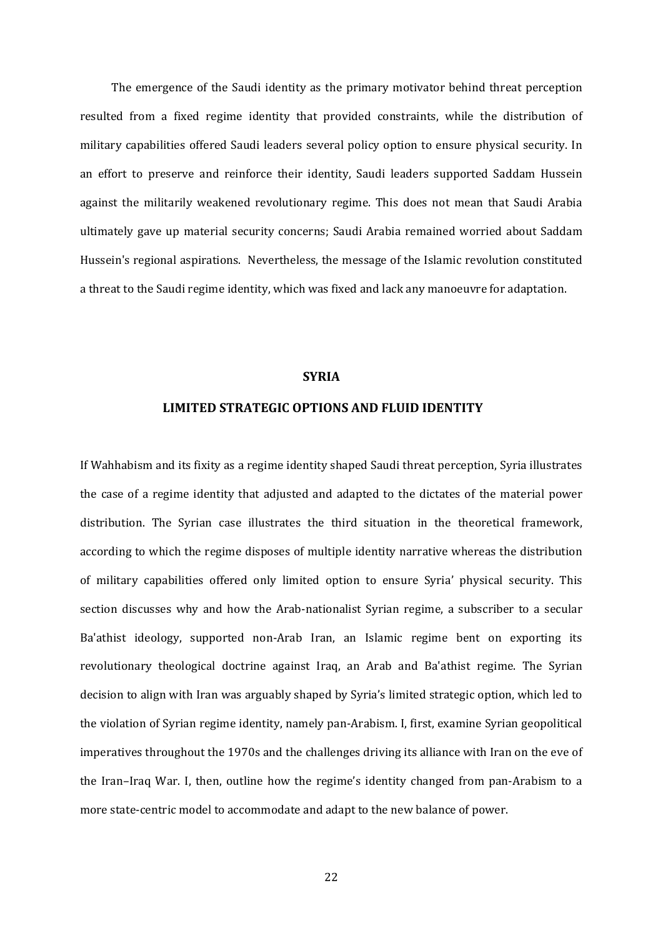The emergence of the Saudi identity as the primary motivator behind threat perception resulted from a fixed regime identity that provided constraints, while the distribution of military capabilities offered Saudi leaders several policy option to ensure physical security. In an effort to preserve and reinforce their identity, Saudi leaders supported Saddam Hussein against the militarily weakened revolutionary regime. This does not mean that Saudi Arabia ultimately gave up material security concerns; Saudi Arabia remained worried about Saddam Hussein's regional aspirations. Nevertheless, the message of the Islamic revolution constituted a threat to the Saudi regime identity, which was fixed and lack any manoeuvre for adaptation.

#### **SYRIA**

# **LIMITED STRATEGIC OPTIONS AND FLUID IDENTITY**

If Wahhabism and its fixity as a regime identity shaped Saudi threat perception, Syria illustrates the case of a regime identity that adjusted and adapted to the dictates of the material power distribution. The Syrian case illustrates the third situation in the theoretical framework, according to which the regime disposes of multiple identity narrative whereas the distribution of military capabilities offered only limited option to ensure Syria' physical security. This section discusses why and how the Arab-nationalist Syrian regime, a subscriber to a secular Ba'athist ideology, supported non-Arab Iran, an Islamic regime bent on exporting its revolutionary theological doctrine against Iraq, an Arab and Ba'athist regime. The Syrian decision to align with Iran was arguably shaped by Syria's limited strategic option, which led to the violation of Syrian regime identity, namely pan-Arabism. I, first, examine Syrian geopolitical imperatives throughout the 1970s and the challenges driving its alliance with Iran on the eve of the Iran–Iraq War. I, then, outline how the regime's identity changed from pan-Arabism to a more state-centric model to accommodate and adapt to the new balance of power.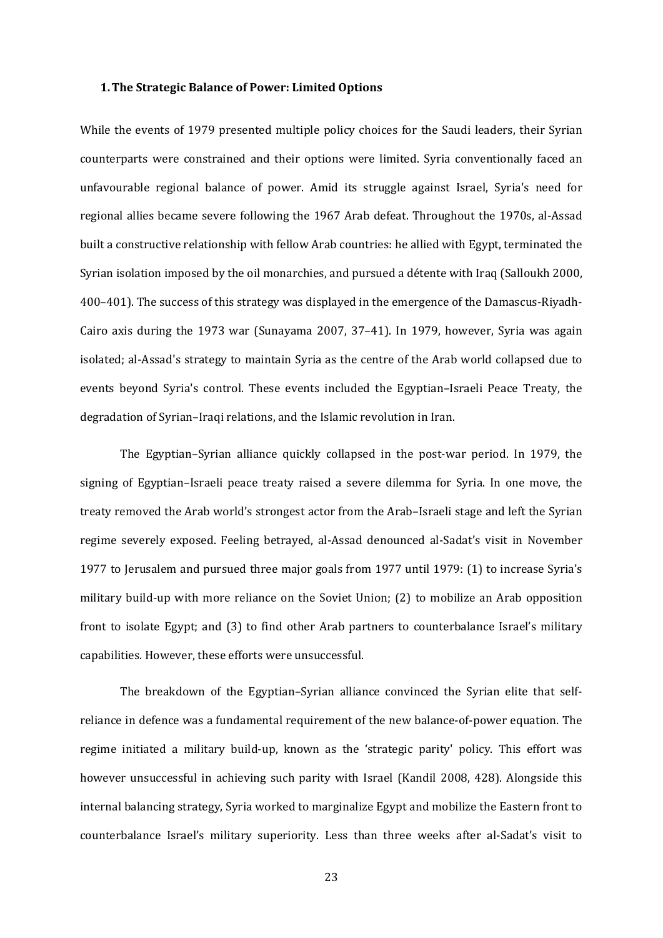#### **1.The Strategic Balance of Power: Limited Options**

While the events of 1979 presented multiple policy choices for the Saudi leaders, their Syrian counterparts were constrained and their options were limited. Syria conventionally faced an unfavourable regional balance of power. Amid its struggle against Israel, Syria's need for regional allies became severe following the 1967 Arab defeat. Throughout the 1970s, al-Assad built a constructive relationship with fellow Arab countries: he allied with Egypt, terminated the Syrian isolation imposed by the oil monarchies, and pursued a détente with Iraq (Salloukh 2000, 400–401). The success of this strategy was displayed in the emergence of the Damascus-Riyadh-Cairo axis during the  $1973$  war (Sunayama 2007,  $37-41$ ). In 1979, however, Syria was again isolated; al-Assad's strategy to maintain Syria as the centre of the Arab world collapsed due to events beyond Syria's control. These events included the Egyptian-Israeli Peace Treaty, the degradation of Syrian–Iraqi relations, and the Islamic revolution in Iran.

The Egyptian–Syrian alliance quickly collapsed in the post-war period. In 1979, the signing of Egyptian-Israeli peace treaty raised a severe dilemma for Syria. In one move, the treaty removed the Arab world's strongest actor from the Arab–Israeli stage and left the Syrian regime severely exposed. Feeling betrayed, al-Assad denounced al-Sadat's visit in November 1977 to Jerusalem and pursued three major goals from 1977 until 1979: (1) to increase Syria's military build-up with more reliance on the Soviet Union; (2) to mobilize an Arab opposition front to isolate Egypt; and (3) to find other Arab partners to counterbalance Israel's military capabilities. However, these efforts were unsuccessful.

The breakdown of the Egyptian–Syrian alliance convinced the Syrian elite that selfreliance in defence was a fundamental requirement of the new balance-of-power equation. The regime initiated a military build-up, known as the 'strategic parity' policy. This effort was however unsuccessful in achieving such parity with Israel (Kandil 2008, 428). Alongside this internal balancing strategy, Syria worked to marginalize Egypt and mobilize the Eastern front to counterbalance Israel's military superiority. Less than three weeks after al-Sadat's visit to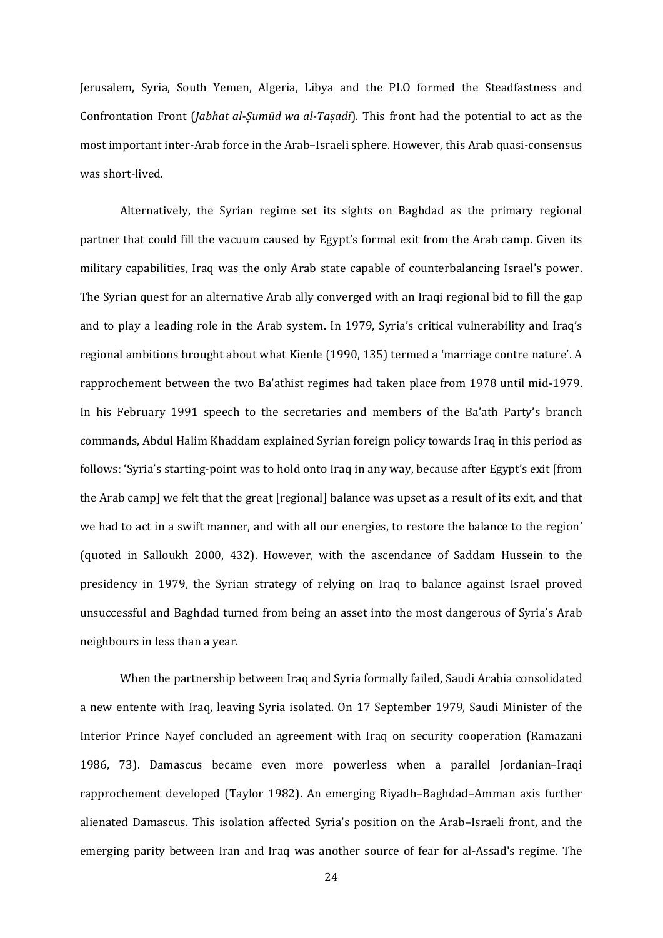Jerusalem, Syria, South Yemen, Algeria, Libya and the PLO formed the Steadfastness and Confrontation Front (*Jabhat al-Sumūd wa al-Tasadī*). This front had the potential to act as the most important inter-Arab force in the Arab–Israeli sphere. However, this Arab quasi-consensus was short-lived.

Alternatively, the Syrian regime set its sights on Baghdad as the primary regional partner that could fill the vacuum caused by Egypt's formal exit from the Arab camp. Given its military capabilities, Iraq was the only Arab state capable of counterbalancing Israel's power. The Syrian quest for an alternative Arab ally converged with an Iraqi regional bid to fill the gap and to play a leading role in the Arab system. In 1979, Syria's critical vulnerability and Iraq's regional ambitions brought about what Kienle (1990, 135) termed a 'marriage contre nature'. A rapprochement between the two Ba'athist regimes had taken place from 1978 until mid-1979. In his February 1991 speech to the secretaries and members of the Ba'ath Party's branch commands, Abdul Halim Khaddam explained Syrian foreign policy towards Iraq in this period as follows: 'Syria's starting-point was to hold onto Iraq in any way, because after Egypt's exit [from the Arab camp] we felt that the great [regional] balance was upset as a result of its exit, and that we had to act in a swift manner, and with all our energies, to restore the balance to the region' (quoted in Salloukh 2000, 432). However, with the ascendance of Saddam Hussein to the presidency in 1979, the Syrian strategy of relying on Iraq to balance against Israel proved unsuccessful and Baghdad turned from being an asset into the most dangerous of Syria's Arab neighbours in less than a year.

When the partnership between Iraq and Syria formally failed, Saudi Arabia consolidated a new entente with Iraq, leaving Syria isolated. On 17 September 1979, Saudi Minister of the Interior Prince Nayef concluded an agreement with Iraq on security cooperation (Ramazani 1986, 73). Damascus became even more powerless when a parallel Jordanian-Iraqi rapprochement developed (Taylor 1982). An emerging Riyadh–Baghdad–Amman axis further alienated Damascus. This isolation affected Syria's position on the Arab-Israeli front, and the emerging parity between Iran and Iraq was another source of fear for al-Assad's regime. The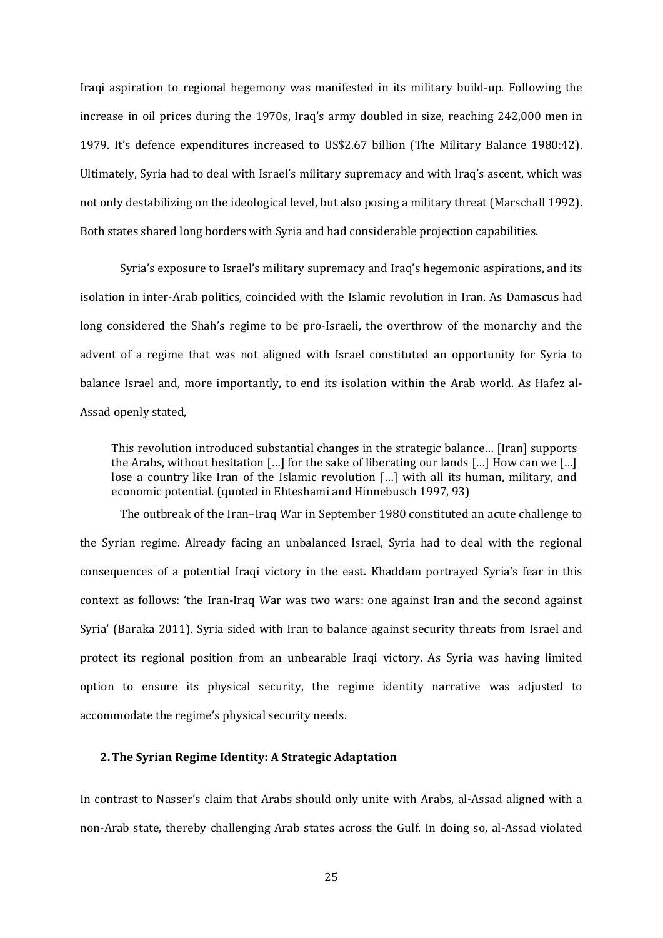Iraqi aspiration to regional hegemony was manifested in its military build-up. Following the increase in oil prices during the  $1970s$ , Iraq's army doubled in size, reaching  $242,000$  men in 1979. It's defence expenditures increased to US\$2.67 billion (The Military Balance 1980:42). Ultimately, Syria had to deal with Israel's military supremacy and with Iraq's ascent, which was not only destabilizing on the ideological level, but also posing a military threat (Marschall 1992). Both states shared long borders with Syria and had considerable projection capabilities.

Syria's exposure to Israel's military supremacy and Iraq's hegemonic aspirations, and its isolation in inter-Arab politics, coincided with the Islamic revolution in Iran. As Damascus had long considered the Shah's regime to be pro-Israeli, the overthrow of the monarchy and the advent of a regime that was not aligned with Israel constituted an opportunity for Syria to balance Israel and, more importantly, to end its isolation within the Arab world. As Hafez al-Assad openly stated,

This revolution introduced substantial changes in the strategic balance... [Iran] supports the Arabs, without hesitation [...] for the sake of liberating our lands [...] How can we [...] lose a country like Iran of the Islamic revolution [...] with all its human, military, and economic potential. (quoted in Ehteshami and Hinnebusch 1997, 93)

The outbreak of the Iran-Iraq War in September 1980 constituted an acute challenge to the Syrian regime. Already facing an unbalanced Israel, Syria had to deal with the regional consequences of a potential Iraqi victory in the east. Khaddam portrayed Syria's fear in this context as follows: 'the Iran-Iraq War was two wars: one against Iran and the second against Syria' (Baraka 2011). Syria sided with Iran to balance against security threats from Israel and protect its regional position from an unbearable Iraqi victory. As Syria was having limited option to ensure its physical security, the regime identity narrative was adjusted to accommodate the regime's physical security needs.

## **2.The Syrian Regime Identity: A Strategic Adaptation**

In contrast to Nasser's claim that Arabs should only unite with Arabs, al-Assad aligned with a non-Arab state, thereby challenging Arab states across the Gulf. In doing so, al-Assad violated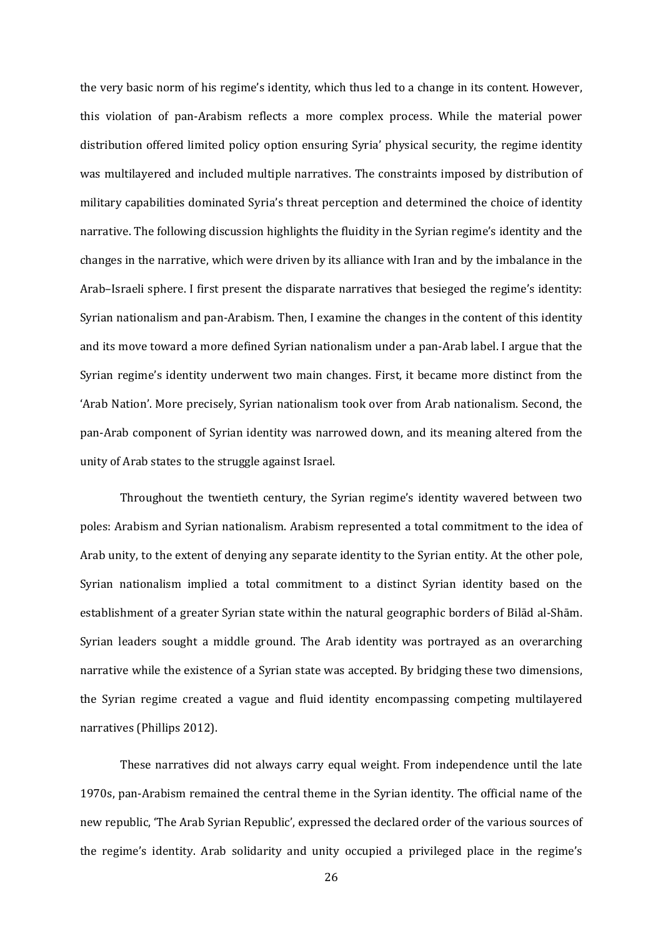the very basic norm of his regime's identity, which thus led to a change in its content. However, this violation of pan-Arabism reflects a more complex process. While the material power distribution offered limited policy option ensuring Syria' physical security, the regime identity was multilayered and included multiple narratives. The constraints imposed by distribution of military capabilities dominated Syria's threat perception and determined the choice of identity narrative. The following discussion highlights the fluidity in the Syrian regime's identity and the changes in the narrative, which were driven by its alliance with Iran and by the imbalance in the Arab–Israeli sphere. I first present the disparate narratives that besieged the regime's identity: Syrian nationalism and pan-Arabism. Then, I examine the changes in the content of this identity and its move toward a more defined Syrian nationalism under a pan-Arab label. I argue that the Syrian regime's identity underwent two main changes. First, it became more distinct from the 'Arab Nation'. More precisely, Syrian nationalism took over from Arab nationalism. Second, the pan-Arab component of Syrian identity was narrowed down, and its meaning altered from the unity of Arab states to the struggle against Israel.

Throughout the twentieth century, the Syrian regime's identity wavered between two poles: Arabism and Syrian nationalism. Arabism represented a total commitment to the idea of Arab unity, to the extent of denying any separate identity to the Syrian entity. At the other pole, Syrian nationalism implied a total commitment to a distinct Syrian identity based on the establishment of a greater Syrian state within the natural geographic borders of Bilād al-Shām. Syrian leaders sought a middle ground. The Arab identity was portrayed as an overarching narrative while the existence of a Syrian state was accepted. By bridging these two dimensions, the Syrian regime created a vague and fluid identity encompassing competing multilayered narratives (Phillips 2012).

These narratives did not always carry equal weight. From independence until the late 1970s, pan-Arabism remained the central theme in the Syrian identity. The official name of the new republic, 'The Arab Syrian Republic', expressed the declared order of the various sources of the regime's identity. Arab solidarity and unity occupied a privileged place in the regime's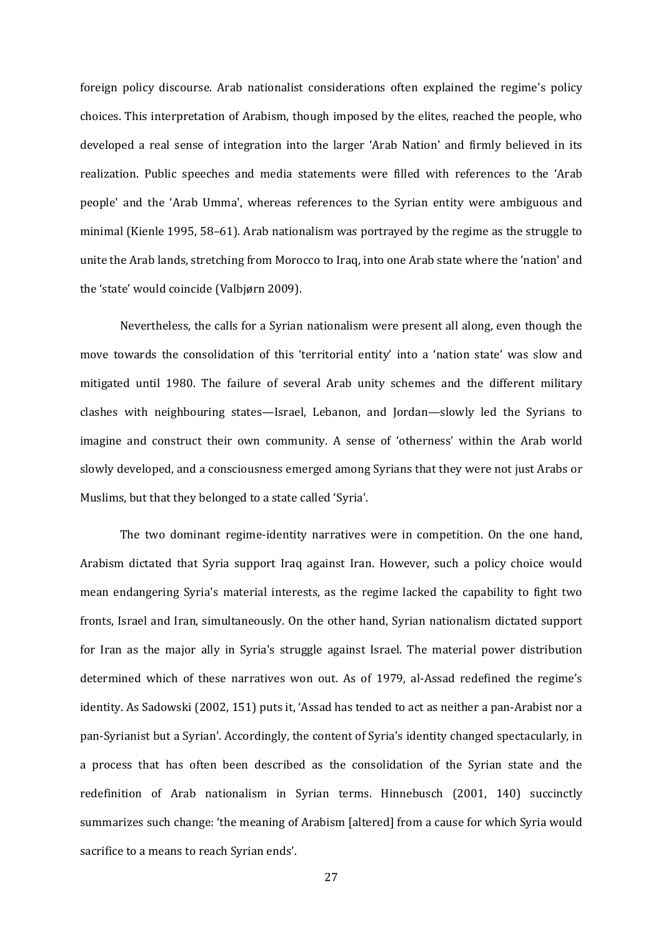foreign policy discourse. Arab nationalist considerations often explained the regime's policy choices. This interpretation of Arabism, though imposed by the elites, reached the people, who developed a real sense of integration into the larger 'Arab Nation' and firmly believed in its realization. Public speeches and media statements were filled with references to the 'Arab people' and the 'Arab Umma', whereas references to the Syrian entity were ambiguous and minimal (Kienle 1995, 58–61). Arab nationalism was portrayed by the regime as the struggle to unite the Arab lands, stretching from Morocco to Iraq, into one Arab state where the 'nation' and the 'state' would coincide (Valbjørn 2009).

Nevertheless, the calls for a Syrian nationalism were present all along, even though the move towards the consolidation of this 'territorial entity' into a 'nation state' was slow and mitigated until 1980. The failure of several Arab unity schemes and the different military clashes with neighbouring states—Israel, Lebanon, and Jordan—slowly led the Syrians to imagine and construct their own community. A sense of 'otherness' within the Arab world slowly developed, and a consciousness emerged among Syrians that they were not just Arabs or Muslims, but that they belonged to a state called 'Syria'.

The two dominant regime-identity narratives were in competition. On the one hand, Arabism dictated that Syria support Iraq against Iran. However, such a policy choice would mean endangering Syria's material interests, as the regime lacked the capability to fight two fronts, Israel and Iran, simultaneously. On the other hand, Syrian nationalism dictated support for Iran as the major ally in Syria's struggle against Israel. The material power distribution determined which of these narratives won out. As of 1979, al-Assad redefined the regime's identity. As Sadowski (2002, 151) puts it, 'Assad has tended to act as neither a pan-Arabist nor a pan-Syrianist but a Syrian'. Accordingly, the content of Syria's identity changed spectacularly, in a process that has often been described as the consolidation of the Syrian state and the redefinition of Arab nationalism in Syrian terms. Hinnebusch (2001, 140) succinctly summarizes such change: 'the meaning of Arabism [altered] from a cause for which Syria would sacrifice to a means to reach Syrian ends'.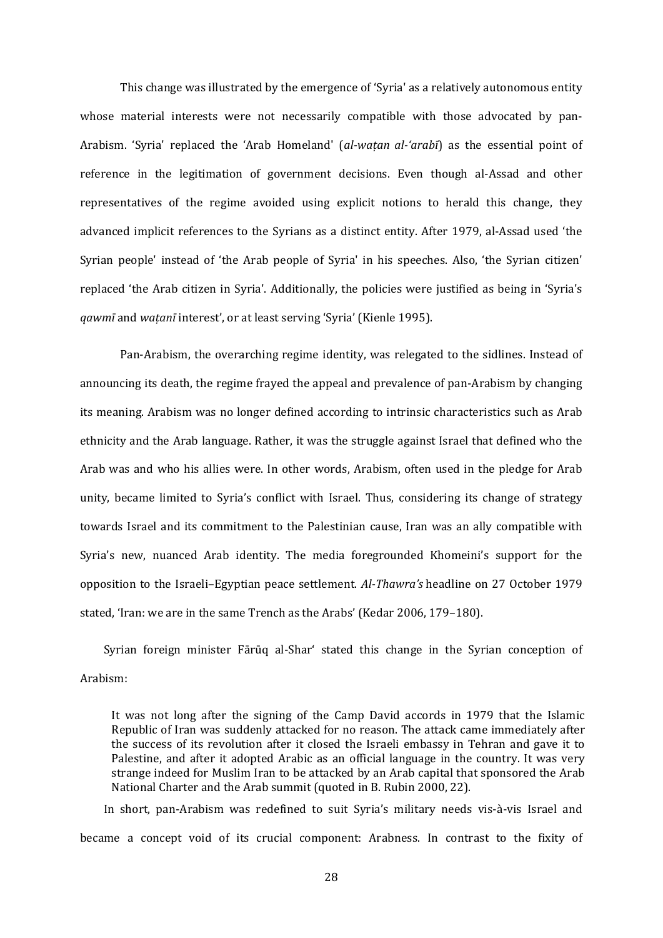This change was illustrated by the emergence of 'Syria' as a relatively autonomous entity whose material interests were not necessarily compatible with those advocated by pan-Arabism. 'Syria' replaced the 'Arab Homeland' (*al-watan al-'arabī*) as the essential point of reference in the legitimation of government decisions. Even though al-Assad and other representatives of the regime avoided using explicit notions to herald this change, they advanced implicit references to the Syrians as a distinct entity. After 1979, al-Assad used 'the Syrian people' instead of 'the Arab people of Syria' in his speeches. Also, 'the Syrian citizen' replaced 'the Arab citizen in Syria'. Additionally, the policies were justified as being in 'Syria's *qawmī* and *watanī* interest', or at least serving 'Syria' (Kienle 1995).

Pan-Arabism, the overarching regime identity, was relegated to the sidlines. Instead of announcing its death, the regime frayed the appeal and prevalence of pan-Arabism by changing its meaning. Arabism was no longer defined according to intrinsic characteristics such as Arab ethnicity and the Arab language. Rather, it was the struggle against Israel that defined who the Arab was and who his allies were. In other words, Arabism, often used in the pledge for Arab unity, became limited to Syria's conflict with Israel. Thus, considering its change of strategy towards Israel and its commitment to the Palestinian cause, Iran was an ally compatible with Syria's new, nuanced Arab identity. The media foregrounded Khomeini's support for the opposition to the Israeli–Egyptian peace settlement. *Al-Thawra's* headline on 27 October 1979 stated, 'Iran: we are in the same Trench as the Arabs' (Kedar 2006, 179-180).

Syrian foreign minister Fārūq al-Shar' stated this change in the Syrian conception of Arabism: 

It was not long after the signing of the Camp David accords in 1979 that the Islamic Republic of Iran was suddenly attacked for no reason. The attack came immediately after the success of its revolution after it closed the Israeli embassy in Tehran and gave it to Palestine, and after it adopted Arabic as an official language in the country. It was very strange indeed for Muslim Iran to be attacked by an Arab capital that sponsored the Arab National Charter and the Arab summit (quoted in B. Rubin 2000, 22).

In short, pan-Arabism was redefined to suit Syria's military needs vis-à-vis Israel and became a concept void of its crucial component: Arabness. In contrast to the fixity of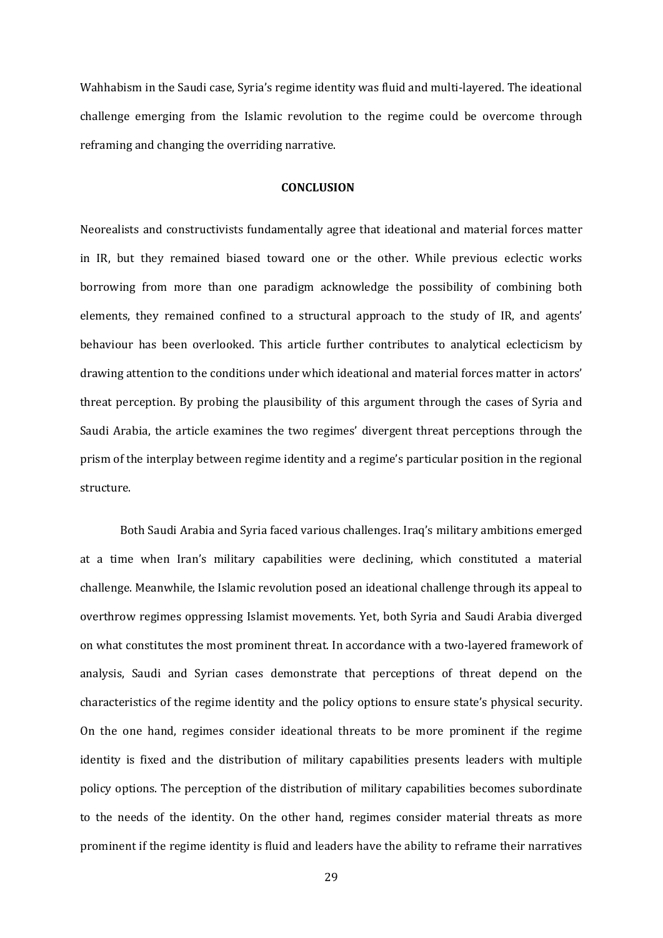Wahhabism in the Saudi case, Syria's regime identity was fluid and multi-layered. The ideational challenge emerging from the Islamic revolution to the regime could be overcome through reframing and changing the overriding narrative.

#### **CONCLUSION**

Neorealists and constructivists fundamentally agree that ideational and material forces matter in IR, but they remained biased toward one or the other. While previous eclectic works borrowing from more than one paradigm acknowledge the possibility of combining both elements, they remained confined to a structural approach to the study of IR, and agents' behaviour has been overlooked. This article further contributes to analytical eclecticism by drawing attention to the conditions under which ideational and material forces matter in actors' threat perception. By probing the plausibility of this argument through the cases of Syria and Saudi Arabia, the article examines the two regimes' divergent threat perceptions through the prism of the interplay between regime identity and a regime's particular position in the regional structure. 

Both Saudi Arabia and Syria faced various challenges. Iraq's military ambitions emerged at a time when Iran's military capabilities were declining, which constituted a material challenge. Meanwhile, the Islamic revolution posed an ideational challenge through its appeal to overthrow regimes oppressing Islamist movements. Yet, both Syria and Saudi Arabia diverged on what constitutes the most prominent threat. In accordance with a two-layered framework of analysis, Saudi and Syrian cases demonstrate that perceptions of threat depend on the characteristics of the regime identity and the policy options to ensure state's physical security. On the one hand, regimes consider ideational threats to be more prominent if the regime identity is fixed and the distribution of military capabilities presents leaders with multiple policy options. The perception of the distribution of military capabilities becomes subordinate to the needs of the identity. On the other hand, regimes consider material threats as more prominent if the regime identity is fluid and leaders have the ability to reframe their narratives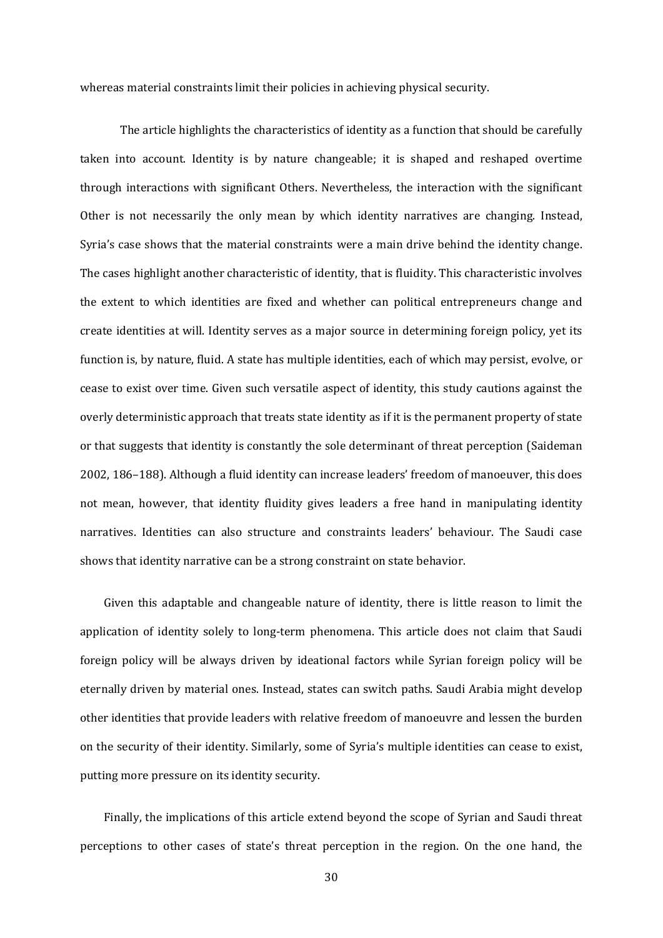whereas material constraints limit their policies in achieving physical security.

The article highlights the characteristics of identity as a function that should be carefully taken into account. Identity is by nature changeable; it is shaped and reshaped overtime through interactions with significant Others. Nevertheless, the interaction with the significant Other is not necessarily the only mean by which identity narratives are changing. Instead, Syria's case shows that the material constraints were a main drive behind the identity change. The cases highlight another characteristic of identity, that is fluidity. This characteristic involves the extent to which identities are fixed and whether can political entrepreneurs change and create identities at will. Identity serves as a major source in determining foreign policy, yet its function is, by nature, fluid. A state has multiple identities, each of which may persist, evolve, or cease to exist over time. Given such versatile aspect of identity, this study cautions against the overly deterministic approach that treats state identity as if it is the permanent property of state or that suggests that identity is constantly the sole determinant of threat perception (Saideman 2002, 186–188). Although a fluid identity can increase leaders' freedom of manoeuver, this does not mean, however, that identity fluidity gives leaders a free hand in manipulating identity narratives. Identities can also structure and constraints leaders' behaviour. The Saudi case shows that identity narrative can be a strong constraint on state behavior.

Given this adaptable and changeable nature of identity, there is little reason to limit the application of identity solely to long-term phenomena. This article does not claim that Saudi foreign policy will be always driven by ideational factors while Syrian foreign policy will be eternally driven by material ones. Instead, states can switch paths. Saudi Arabia might develop other identities that provide leaders with relative freedom of manoeuvre and lessen the burden on the security of their identity. Similarly, some of Syria's multiple identities can cease to exist, putting more pressure on its identity security.

Finally, the implications of this article extend beyond the scope of Syrian and Saudi threat perceptions to other cases of state's threat perception in the region. On the one hand, the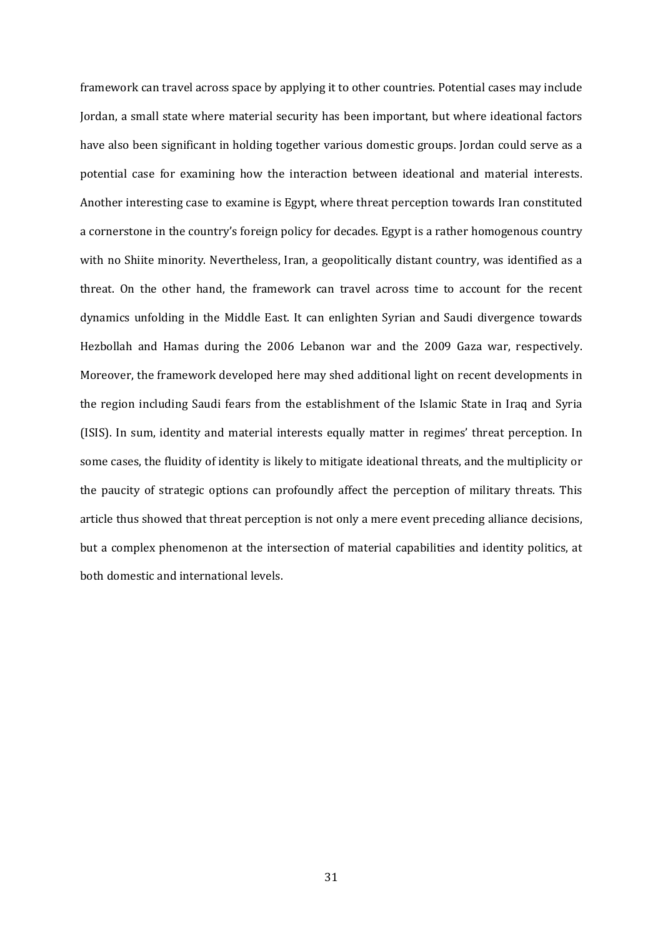framework can travel across space by applying it to other countries. Potential cases may include Jordan, a small state where material security has been important, but where ideational factors have also been significant in holding together various domestic groups. Jordan could serve as a potential case for examining how the interaction between ideational and material interests. Another interesting case to examine is Egypt, where threat perception towards Iran constituted a cornerstone in the country's foreign policy for decades. Egypt is a rather homogenous country with no Shiite minority. Nevertheless, Iran, a geopolitically distant country, was identified as a threat. On the other hand, the framework can travel across time to account for the recent dynamics unfolding in the Middle East. It can enlighten Syrian and Saudi divergence towards Hezbollah and Hamas during the 2006 Lebanon war and the 2009 Gaza war, respectively. Moreover, the framework developed here may shed additional light on recent developments in the region including Saudi fears from the establishment of the Islamic State in Iraq and Syria (ISIS). In sum, identity and material interests equally matter in regimes' threat perception. In some cases, the fluidity of identity is likely to mitigate ideational threats, and the multiplicity or the paucity of strategic options can profoundly affect the perception of military threats. This article thus showed that threat perception is not only a mere event preceding alliance decisions, but a complex phenomenon at the intersection of material capabilities and identity politics, at both domestic and international levels.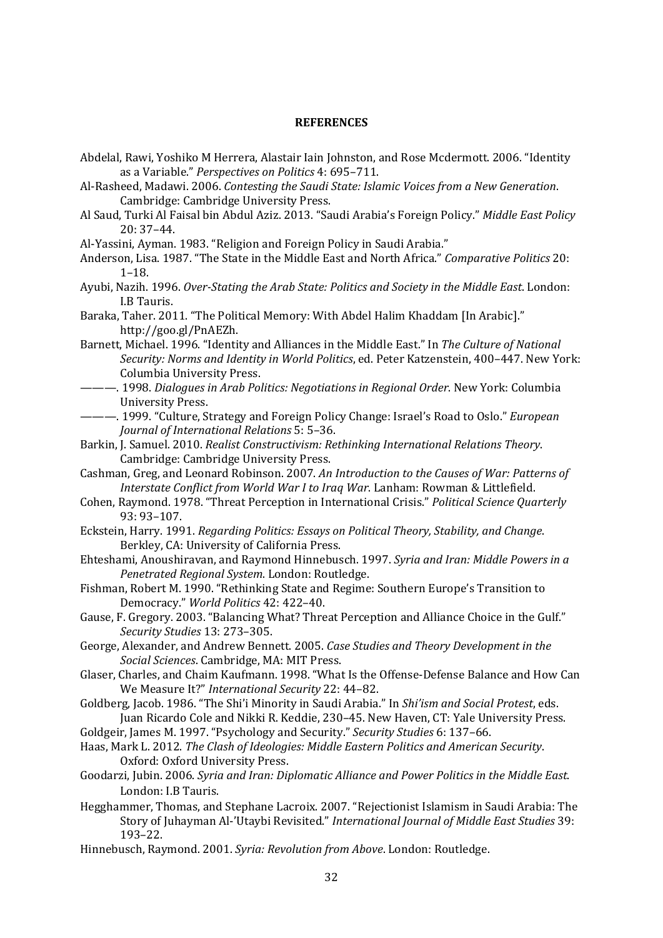#### **REFERENCES**

- Abdelal, Rawi, Yoshiko M Herrera, Alastair Iain Johnston, and Rose Mcdermott. 2006. "Identity as a Variable." *Perspectives on Politics* 4: 695–711.
- Al‐Rasheed, Madawi. 2006. *Contesting the Saudi State: Islamic Voices from a New Generation*. Cambridge: Cambridge University Press.
- Al Saud, Turki Al Faisal bin Abdul Aziz. 2013. "Saudi Arabia's Foreign Policy." *Middle East Policy* 20: 37–44.
- Al-Yassini, Ayman. 1983. "Religion and Foreign Policy in Saudi Arabia."
- Anderson, Lisa. 1987. "The State in the Middle East and North Africa." Comparative Politics 20: 1–18.
- Ayubi, Nazih. 1996. *Over‐Stating the Arab State: Politics and Society in the Middle East*. London: I.B Tauris.
- Baraka, Taher. 2011. "The Political Memory: With Abdel Halim Khaddam [In Arabic]." http://goo.gl/PnAEZh.
- Barnett, Michael. 1996. "Identity and Alliances in the Middle East." In *The Culture of National Security: Norms and Identity in World Politics*, ed. Peter Katzenstein, 400–447. New York: Columbia University Press.
- ———. 1998. *Dialogues in Arab Politics: Negotiations in Regional Order*. New York: Columbia University Press.
- $-$ . 1999. "Culture, Strategy and Foreign Policy Change: Israel's Road to Oslo." *European Journal of International Relations* 5: 5–36.
- Barkin, J. Samuel. 2010. *Realist Constructivism: Rethinking International Relations Theory*. Cambridge: Cambridge University Press.
- Cashman, Greg, and Leonard Robinson. 2007. *An Introduction to the Causes of War: Patterns of Interstate Conflict from World War I to Iraq War*. Lanham: Rowman & Littlefield.
- Cohen, Raymond. 1978. "Threat Perception in International Crisis." *Political Science Quarterly* 93: 93–107.
- Eckstein, Harry. 1991. *Regarding Politics: Essays on Political Theory, Stability, and Change*. Berkley, CA: University of California Press.
- Ehteshami, Anoushiravan, and Raymond Hinnebusch. 1997. Syria and Iran: Middle Powers in a *Penetrated Regional System*. London: Routledge.
- Fishman, Robert M. 1990. "Rethinking State and Regime: Southern Europe's Transition to Democracy." *World Politics* 42: 422–40.
- Gause, F. Gregory. 2003. "Balancing What? Threat Perception and Alliance Choice in the Gulf." *Security Studies* 13: 273–305.
- George, Alexander, and Andrew Bennett. 2005. *Case Studies and Theory Development in the Social Sciences*. Cambridge, MA: MIT Press.
- Glaser, Charles, and Chaim Kaufmann. 1998. "What Is the Offense-Defense Balance and How Can We Measure It?" *International Security* 22: 44-82.
- Goldberg, Jacob. 1986. "The Shi'i Minority in Saudi Arabia." In *Shi'ism and Social Protest*, eds. Juan Ricardo Cole and Nikki R. Keddie, 230-45. New Haven, CT: Yale University Press.
- Goldgeir, James M. 1997. "Psychology and Security." Security Studies 6: 137-66.
- Haas, Mark L. 2012. *The Clash of Ideologies: Middle Eastern Politics and American Security*. Oxford: Oxford University Press.
- Goodarzi, Jubin. 2006. *Syria and Iran: Diplomatic Alliance and Power Politics in the Middle East*. London: I.B Tauris.
- Hegghammer, Thomas, and Stephane Lacroix. 2007. "Rejectionist Islamism in Saudi Arabia: The Story of Juhayman Al‐'Utaybi Revisited." *International Journal of Middle East Studies* 39: 193–22.
- Hinnebusch, Raymond. 2001. *Syria: Revolution from Above*. London: Routledge.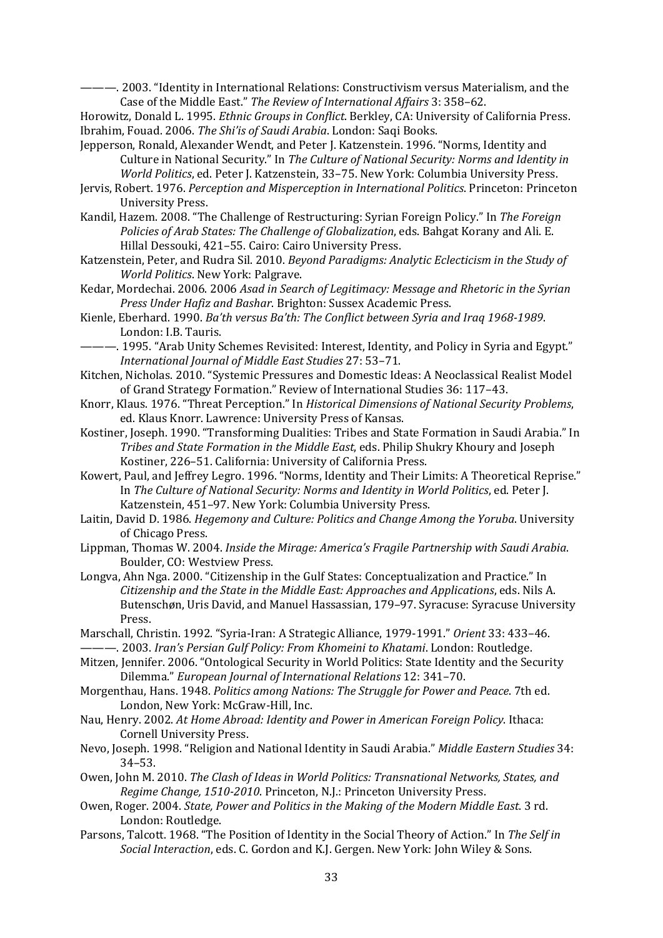-. 2003. "Identity in International Relations: Constructivism versus Materialism, and the Case of the Middle East." *The Review of International Affairs* 3: 358–62. 

Horowitz, Donald L. 1995. *Ethnic Groups in Conflict*. Berkley, CA: University of California Press. Ibrahim, Fouad. 2006. *The Shi'is of Saudi Arabia*. London: Saqi Books. 

- Jepperson, Ronald, Alexander Wendt, and Peter J. Katzenstein. 1996. "Norms, Identity and Culture in National Security." In *The Culture of National Security: Norms and Identity in World Politics*, ed. Peter J. Katzenstein, 33-75. New York: Columbia University Press.
- Jervis, Robert. 1976. *Perception and Misperception in International Politics*. Princeton: Princeton University Press.
- Kandil, Hazem. 2008. "The Challenge of Restructuring: Syrian Foreign Policy." In The Foreign *Policies of Arab States: The Challenge of Globalization*, eds. Bahgat Korany and Ali. E. Hillal Dessouki, 421-55. Cairo: Cairo University Press.
- Katzenstein, Peter, and Rudra Sil. 2010. *Beyond Paradigms: Analytic Eclecticism in the Study of World Politics*. New York: Palgrave.
- Kedar, Mordechai. 2006. 2006 *Asad in Search of Legitimacy: Message and Rhetoric in the Syrian Press Under Hafiz and Bashar*. Brighton: Sussex Academic Press.
- Kienle, Eberhard. 1990. *Ba'th versus Ba'th: The Conflict between Syria and Iraq 1968‐1989*. London: I.B. Tauris.
- ——. 1995. "Arab Unity Schemes Revisited: Interest, Identity, and Policy in Syria and Egypt." *International Journal of Middle East Studies* 27: 53–71.
- Kitchen, Nicholas. 2010. "Systemic Pressures and Domestic Ideas: A Neoclassical Realist Model of Grand Strategy Formation." Review of International Studies 36: 117-43.
- Knorr, Klaus. 1976. "Threat Perception." In *Historical Dimensions of National Security Problems*, ed. Klaus Knorr. Lawrence: University Press of Kansas.
- Kostiner, Joseph. 1990. "Transforming Dualities: Tribes and State Formation in Saudi Arabia." In *Tribes and State Formation in the Middle East*, eds. Philip Shukry Khoury and Joseph Kostiner, 226-51. California: University of California Press.
- Kowert, Paul, and Jeffrey Legro. 1996. "Norms, Identity and Their Limits: A Theoretical Reprise." In *The Culture of National Security: Norms and Identity in World Politics*, ed. Peter J. Katzenstein, 451-97. New York: Columbia University Press.
- Laitin, David D. 1986. *Hegemony and Culture: Politics and Change Among the Yoruba*. University of Chicago Press.
- Lippman, Thomas W. 2004. *Inside the Mirage: America's Fragile Partnership with Saudi Arabia*. Boulder, CO: Westview Press.
- Longva, Ahn Nga. 2000. "Citizenship in the Gulf States: Conceptualization and Practice." In *Citizenship and the State in the Middle East: Approaches and Applications*, eds. Nils A. Butenschøn, Uris David, and Manuel Hassassian, 179-97. Syracuse: Syracuse University Press.
- Marschall, Christin. 1992. "Syria-Iran: A Strategic Alliance, 1979-1991." Orient 33: 433–46. ———. 2003. *Iran's Persian Gulf Policy: From Khomeini to Khatami*. London: Routledge.
- Mitzen, Jennifer. 2006. "Ontological Security in World Politics: State Identity and the Security Dilemma." *European Journal of International Relations* 12: 341–70.
- Morgenthau, Hans. 1948. *Politics among Nations: The Struggle for Power and Peace*. 7th ed. London, New York: McGraw-Hill, Inc.
- Nau, Henry. 2002. *At Home Abroad: Identity and Power in American Foreign Policy*. Ithaca: Cornell University Press.
- Nevo, Joseph. 1998. "Religion and National Identity in Saudi Arabia." *Middle Eastern Studies* 34: 34–53.
- Owen, John M. 2010. *The Clash of Ideas in World Politics: Transnational Networks, States, and Regime Change, 1510‐2010*. Princeton, N.J.: Princeton University Press.
- Owen, Roger. 2004. *State, Power and Politics in the Making of the Modern Middle East*. 3 rd. London: Routledge.
- Parsons, Talcott. 1968. "The Position of Identity in the Social Theory of Action." In The Self in *Social Interaction*, eds. C. Gordon and K.J. Gergen. New York: John Wiley & Sons.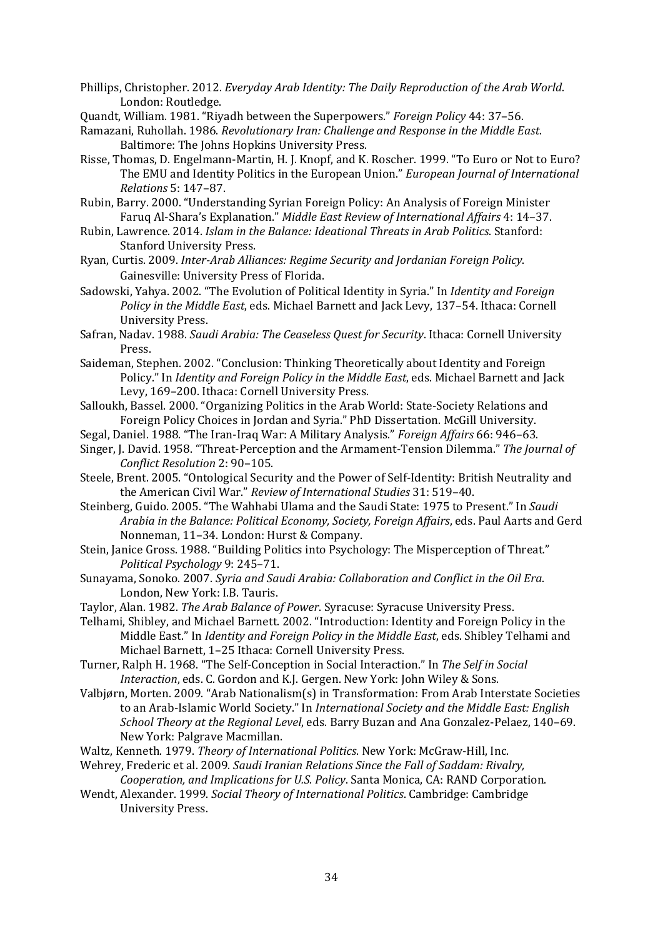Phillips, Christopher. 2012. *Everyday Arab Identity: The Daily Reproduction of the Arab World*. London: Routledge.

Quandt, William. 1981. "Riyadh between the Superpowers." *Foreign Policy* 44: 37–56. 

Ramazani, Ruhollah. 1986. *Revolutionary Iran: Challenge and Response in the Middle East*. Baltimore: The Johns Hopkins University Press.

- Risse, Thomas, D. Engelmann-Martin, H. J. Knopf, and K. Roscher. 1999. "To Euro or Not to Euro? The EMU and Identity Politics in the European Union." *European Journal of International Relations* 5: 147–87.
- Rubin, Barry. 2000. "Understanding Syrian Foreign Policy: An Analysis of Foreign Minister Faruq Al‐Shara's Explanation." *Middle East Review of International Affairs* 4: 14–37.
- Rubin, Lawrence. 2014. *Islam in the Balance: Ideational Threats in Arab Politics*. Stanford: Stanford University Press.
- Ryan, Curtis. 2009. *Inter‐Arab Alliances: Regime Security and Jordanian Foreign Policy*. Gainesville: University Press of Florida.
- Sadowski, Yahya. 2002. "The Evolution of Political Identity in Syria." In *Identity and Foreign Policy in the Middle East*, eds. Michael Barnett and Jack Levy, 137-54. Ithaca: Cornell University Press.
- Safran, Nadav. 1988. *Saudi Arabia: The Ceaseless Quest for Security*. Ithaca: Cornell University Press.
- Saideman, Stephen. 2002. "Conclusion: Thinking Theoretically about Identity and Foreign Policy." In *Identity and Foreign Policy in the Middle East*, eds. Michael Barnett and Jack Levy, 169-200. Ithaca: Cornell University Press.
- Salloukh, Bassel. 2000. "Organizing Politics in the Arab World: State-Society Relations and Foreign Policy Choices in Jordan and Syria." PhD Dissertation. McGill University.
- Segal, Daniel. 1988. "The Iran-Iraq War: A Military Analysis." *Foreign Affairs* 66: 946-63.
- Singer, J. David. 1958. "Threat‐Perception and the Armament‐Tension Dilemma." *The Journal of Conflict Resolution* 2: 90–105.
- Steele, Brent. 2005. "Ontological Security and the Power of Self-Identity: British Neutrality and the American Civil War." Review of International Studies 31: 519-40.
- Steinberg, Guido. 2005. "The Wahhabi Ulama and the Saudi State: 1975 to Present." In *Saudi Arabia in the Balance: Political Economy, Society, Foreign Affairs*, eds. Paul Aarts and Gerd Nonneman, 11-34. London: Hurst & Company.
- Stein, Janice Gross. 1988. "Building Politics into Psychology: The Misperception of Threat." *Political Psychology* 9: 245–71.
- Sunayama, Sonoko. 2007. *Syria and Saudi Arabia: Collaboration and Conflict in the Oil Era*. London, New York: I.B. Tauris.
- Taylor, Alan. 1982. The Arab Balance of Power. Syracuse: Syracuse University Press.
- Telhami, Shibley, and Michael Barnett. 2002. "Introduction: Identity and Foreign Policy in the Middle East." In *Identity and Foreign Policy in the Middle East*, eds. Shibley Telhami and Michael Barnett, 1-25 Ithaca: Cornell University Press.
- Turner, Ralph H. 1968. "The Self‐Conception in Social Interaction." In *The Self in Social Interaction*, eds. C. Gordon and K.J. Gergen. New York: John Wiley & Sons.
- Valbiørn, Morten. 2009. "Arab Nationalism(s) in Transformation: From Arab Interstate Societies to an Arab‐Islamic World Society." In *International Society and the Middle East: English School Theory at the Regional Level*, eds. Barry Buzan and Ana Gonzalez‐Pelaez, 140–69. New York: Palgrave Macmillan.
- Waltz, Kenneth. 1979. *Theory of International Politics*. New York: McGraw-Hill, Inc.
- Wehrey, Frederic et al. 2009. *Saudi Iranian Relations Since the Fall of Saddam: Rivalry, Cooperation, and Implications for U.S. Policy*. Santa Monica, CA: RAND Corporation.
- Wendt, Alexander. 1999. *Social Theory of International Politics*. Cambridge: Cambridge University Press.